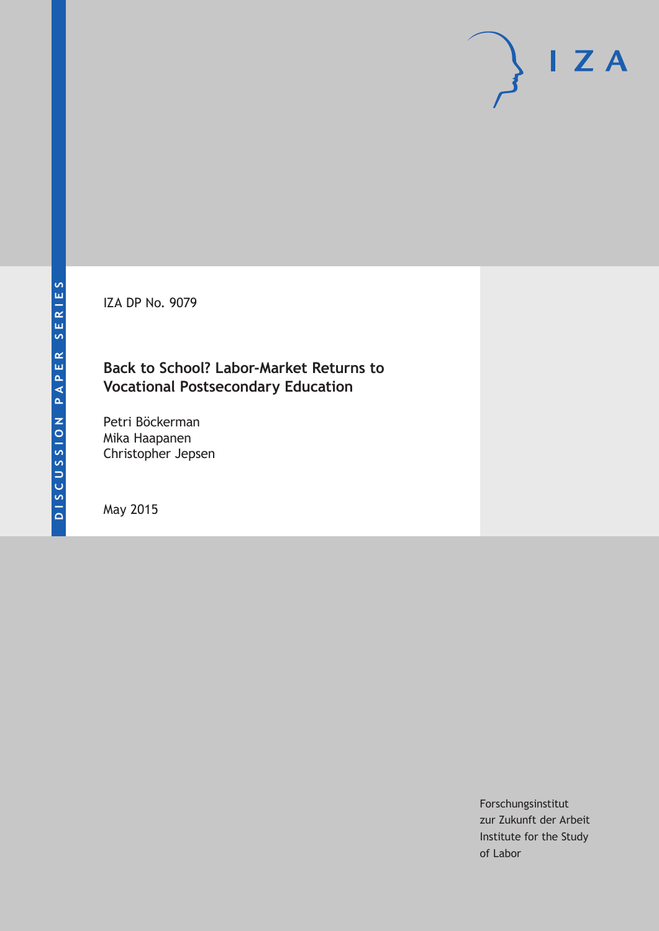IZA DP No. 9079

## **Back to School? Labor-Market Returns to Vocational Postsecondary Education**

Petri Böckerman Mika Haapanen Christopher Jepsen

May 2015

Forschungsinstitut zur Zukunft der Arbeit Institute for the Study of Labor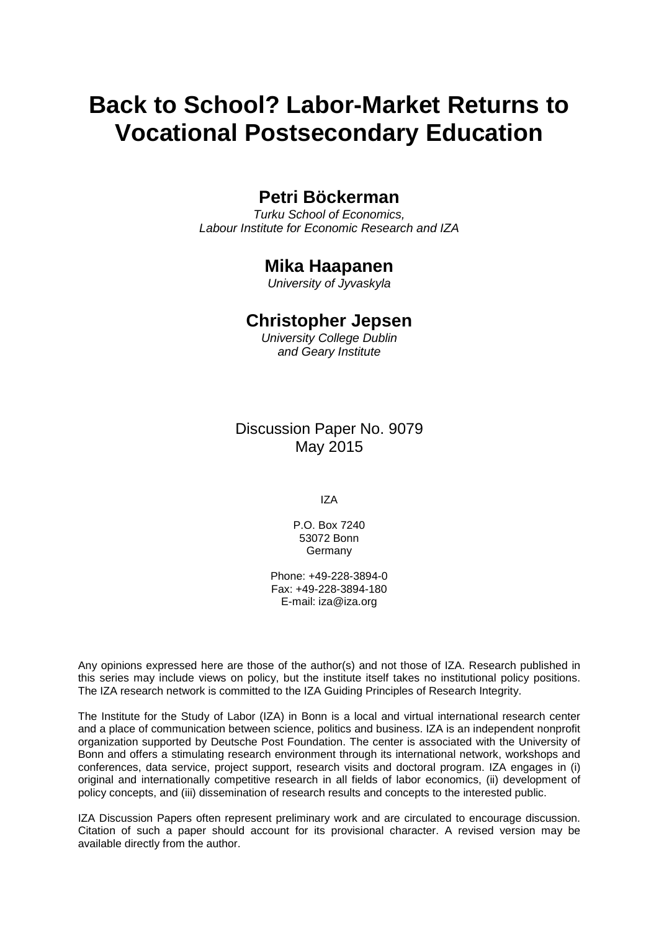# **Back to School? Labor-Market Returns to Vocational Postsecondary Education**

### **Petri Böckerman**

*Turku School of Economics, Labour Institute for Economic Research and IZA*

### **Mika Haapanen**

*University of Jyvaskyla*

### **Christopher Jepsen**

*University College Dublin and Geary Institute*

Discussion Paper No. 9079 May 2015

IZA

P.O. Box 7240 53072 Bonn Germany

Phone: +49-228-3894-0 Fax: +49-228-3894-180 E-mail: iza@iza.org

Any opinions expressed here are those of the author(s) and not those of IZA. Research published in this series may include views on policy, but the institute itself takes no institutional policy positions. The IZA research network is committed to the IZA Guiding Principles of Research Integrity.

The Institute for the Study of Labor (IZA) in Bonn is a local and virtual international research center and a place of communication between science, politics and business. IZA is an independent nonprofit organization supported by Deutsche Post Foundation. The center is associated with the University of Bonn and offers a stimulating research environment through its international network, workshops and conferences, data service, project support, research visits and doctoral program. IZA engages in (i) original and internationally competitive research in all fields of labor economics, (ii) development of policy concepts, and (iii) dissemination of research results and concepts to the interested public.

<span id="page-1-0"></span>IZA Discussion Papers often represent preliminary work and are circulated to encourage discussion. Citation of such a paper should account for its provisional character. A revised version may be available directly from the author.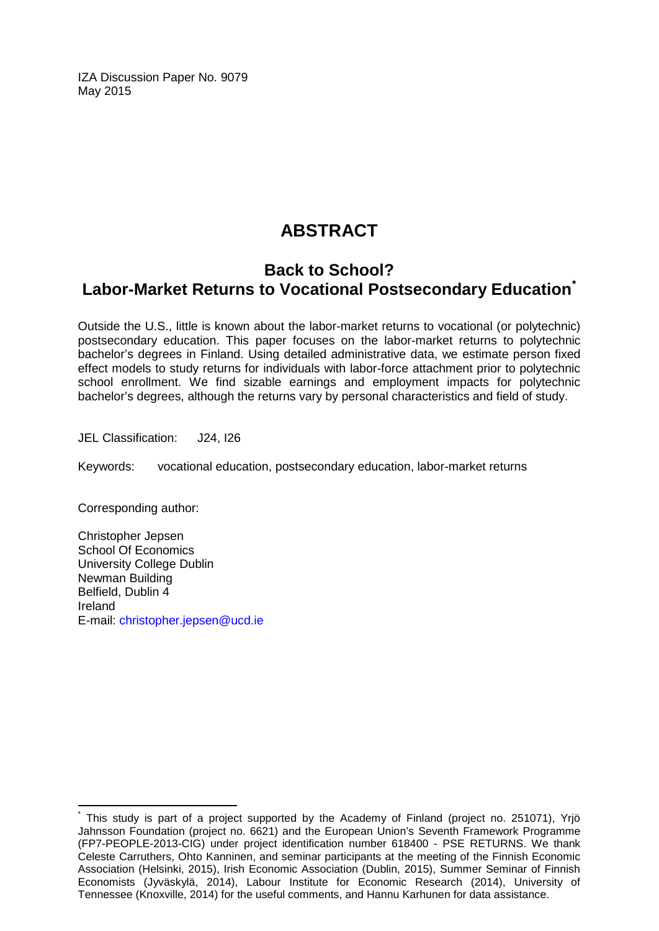IZA Discussion Paper No. 9079 May 2015

# **ABSTRACT**

### **Back to School? Labor-Market Returns to Vocational Postsecondary Education[\\*](#page-1-0)**

Outside the U.S., little is known about the labor-market returns to vocational (or polytechnic) postsecondary education. This paper focuses on the labor-market returns to polytechnic bachelor's degrees in Finland. Using detailed administrative data, we estimate person fixed effect models to study returns for individuals with labor-force attachment prior to polytechnic school enrollment. We find sizable earnings and employment impacts for polytechnic bachelor's degrees, although the returns vary by personal characteristics and field of study.

JEL Classification: J24, I26

Keywords: vocational education, postsecondary education, labor-market returns

Corresponding author:

Christopher Jepsen School Of Economics University College Dublin Newman Building Belfield, Dublin 4 Ireland E-mail: [christopher.jepsen@ucd.ie](mailto:christopher.jepsen@ucd.ie)

This study is part of a project supported by the Academy of Finland (project no. 251071), Yrjö Jahnsson Foundation (project no. 6621) and the European Union's Seventh Framework Programme (FP7-PEOPLE-2013-CIG) under project identification number 618400 - PSE RETURNS. We thank Celeste Carruthers, Ohto Kanninen, and seminar participants at the meeting of the Finnish Economic Association (Helsinki, 2015), Irish Economic Association (Dublin, 2015), Summer Seminar of Finnish Economists (Jyväskylä, 2014), Labour Institute for Economic Research (2014), University of Tennessee (Knoxville, 2014) for the useful comments, and Hannu Karhunen for data assistance.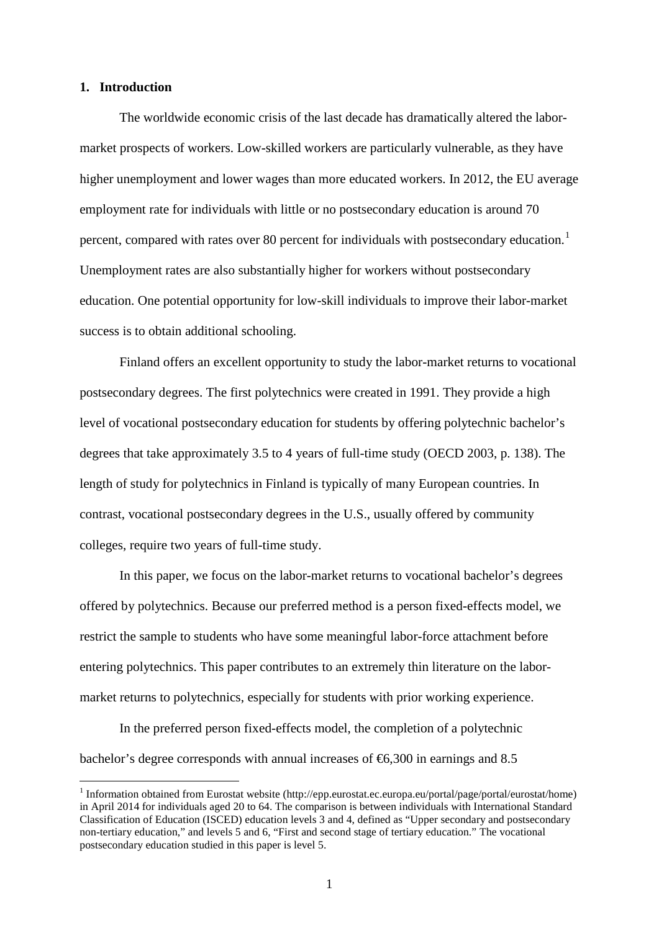#### **1. Introduction**

The worldwide economic crisis of the last decade has dramatically altered the labormarket prospects of workers. Low-skilled workers are particularly vulnerable, as they have higher unemployment and lower wages than more educated workers. In 2012, the EU average employment rate for individuals with little or no postsecondary education is around 70 percent, compared with rates over 80 percent for individuals with postsecondary education.<sup>1</sup> Unemployment rates are also substantially higher for workers without postsecondary education. One potential opportunity for low-skill individuals to improve their labor-market success is to obtain additional schooling.

Finland offers an excellent opportunity to study the labor-market returns to vocational postsecondary degrees. The first polytechnics were created in 1991. They provide a high level of vocational postsecondary education for students by offering polytechnic bachelor's degrees that take approximately 3.5 to 4 years of full-time study (OECD 2003, p. 138). The length of study for polytechnics in Finland is typically of many European countries. In contrast, vocational postsecondary degrees in the U.S., usually offered by community colleges, require two years of full-time study.

In this paper, we focus on the labor-market returns to vocational bachelor's degrees offered by polytechnics. Because our preferred method is a person fixed-effects model, we restrict the sample to students who have some meaningful labor-force attachment before entering polytechnics. This paper contributes to an extremely thin literature on the labormarket returns to polytechnics, especially for students with prior working experience.

In the preferred person fixed-effects model, the completion of a polytechnic bachelor's degree corresponds with annual increases of  $\epsilon$ 6,300 in earnings and 8.5

<span id="page-3-0"></span><sup>&</sup>lt;sup>1</sup> Information obtained from Eurostat website (http://epp.eurostat.ec.europa.eu/portal/page/portal/eurostat/home) in April 2014 for individuals aged 20 to 64. The comparison is between individuals with International Standard Classification of Education (ISCED) education levels 3 and 4, defined as "Upper secondary and postsecondary non-tertiary education," and levels 5 and 6, "First and second stage of tertiary education." The vocational postsecondary education studied in this paper is level 5.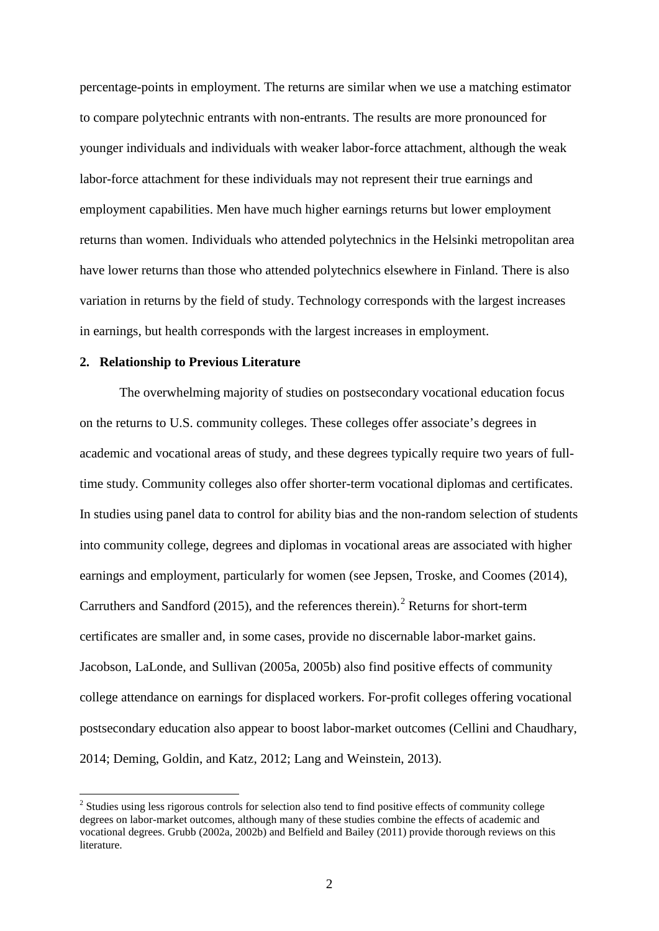percentage-points in employment. The returns are similar when we use a matching estimator to compare polytechnic entrants with non-entrants. The results are more pronounced for younger individuals and individuals with weaker labor-force attachment, although the weak labor-force attachment for these individuals may not represent their true earnings and employment capabilities. Men have much higher earnings returns but lower employment returns than women. Individuals who attended polytechnics in the Helsinki metropolitan area have lower returns than those who attended polytechnics elsewhere in Finland. There is also variation in returns by the field of study. Technology corresponds with the largest increases in earnings, but health corresponds with the largest increases in employment.

#### **2. Relationship to Previous Literature**

The overwhelming majority of studies on postsecondary vocational education focus on the returns to U.S. community colleges. These colleges offer associate's degrees in academic and vocational areas of study, and these degrees typically require two years of fulltime study. Community colleges also offer shorter-term vocational diplomas and certificates. In studies using panel data to control for ability bias and the non-random selection of students into community college, degrees and diplomas in vocational areas are associated with higher earnings and employment, particularly for women (see Jepsen, Troske, and Coomes (2014), Carruthers and Sandford ([2](#page-3-0)015), and the references therein).<sup>2</sup> Returns for short-term certificates are smaller and, in some cases, provide no discernable labor-market gains. Jacobson, LaLonde, and Sullivan (2005a, 2005b) also find positive effects of community college attendance on earnings for displaced workers. For-profit colleges offering vocational postsecondary education also appear to boost labor-market outcomes (Cellini and Chaudhary, 2014; Deming, Goldin, and Katz, 2012; Lang and Weinstein, 2013).

<span id="page-4-0"></span><sup>&</sup>lt;sup>2</sup> Studies using less rigorous controls for selection also tend to find positive effects of community college degrees on labor-market outcomes, although many of these studies combine the effects of academic and vocational degrees. Grubb (2002a, 2002b) and Belfield and Bailey (2011) provide thorough reviews on this literature.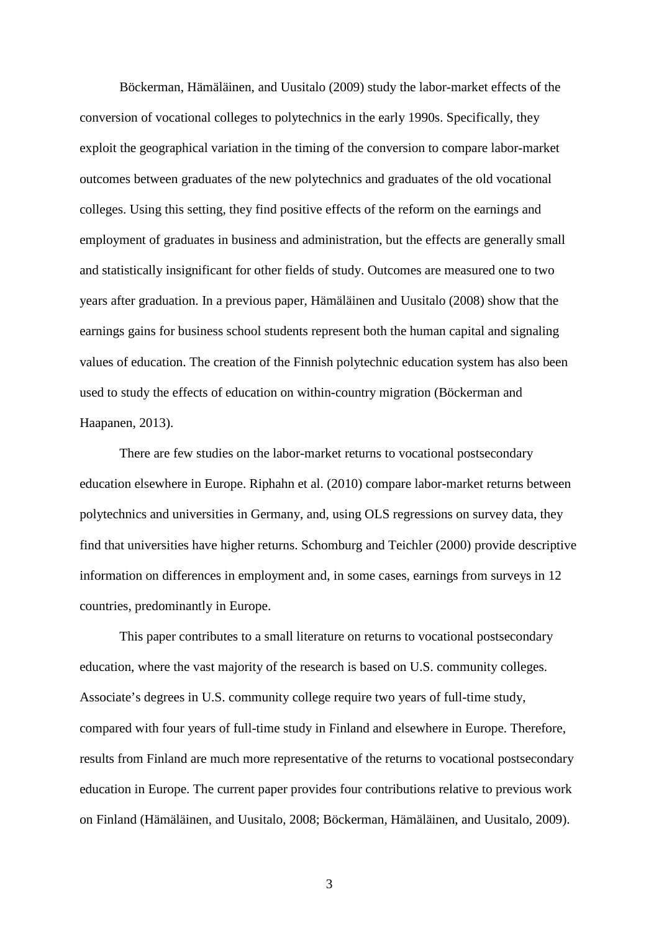Böckerman, Hämäläinen, and Uusitalo (2009) study the labor-market effects of the conversion of vocational colleges to polytechnics in the early 1990s. Specifically, they exploit the geographical variation in the timing of the conversion to compare labor-market outcomes between graduates of the new polytechnics and graduates of the old vocational colleges. Using this setting, they find positive effects of the reform on the earnings and employment of graduates in business and administration, but the effects are generally small and statistically insignificant for other fields of study. Outcomes are measured one to two years after graduation. In a previous paper, Hämäläinen and Uusitalo (2008) show that the earnings gains for business school students represent both the human capital and signaling values of education. The creation of the Finnish polytechnic education system has also been used to study the effects of education on within-country migration (Böckerman and Haapanen, 2013).

There are few studies on the labor-market returns to vocational postsecondary education elsewhere in Europe. Riphahn et al. (2010) compare labor-market returns between polytechnics and universities in Germany, and, using OLS regressions on survey data, they find that universities have higher returns. Schomburg and Teichler (2000) provide descriptive information on differences in employment and, in some cases, earnings from surveys in 12 countries, predominantly in Europe.

This paper contributes to a small literature on returns to vocational postsecondary education, where the vast majority of the research is based on U.S. community colleges. Associate's degrees in U.S. community college require two years of full-time study, compared with four years of full-time study in Finland and elsewhere in Europe. Therefore, results from Finland are much more representative of the returns to vocational postsecondary education in Europe. The current paper provides four contributions relative to previous work on Finland (Hämäläinen, and Uusitalo, 2008; Böckerman, Hämäläinen, and Uusitalo, 2009).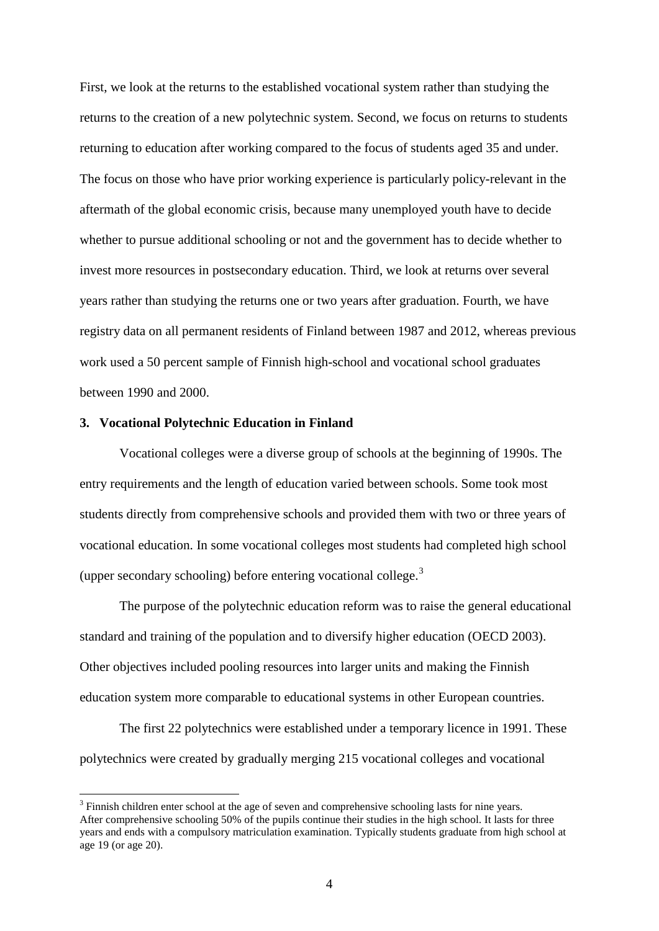First, we look at the returns to the established vocational system rather than studying the returns to the creation of a new polytechnic system. Second, we focus on returns to students returning to education after working compared to the focus of students aged 35 and under. The focus on those who have prior working experience is particularly policy-relevant in the aftermath of the global economic crisis, because many unemployed youth have to decide whether to pursue additional schooling or not and the government has to decide whether to invest more resources in postsecondary education. Third, we look at returns over several years rather than studying the returns one or two years after graduation. Fourth, we have registry data on all permanent residents of Finland between 1987 and 2012, whereas previous work used a 50 percent sample of Finnish high-school and vocational school graduates between 1990 and 2000.

#### **3. Vocational Polytechnic Education in Finland**

Vocational colleges were a diverse group of schools at the beginning of 1990s. The entry requirements and the length of education varied between schools. Some took most students directly from comprehensive schools and provided them with two or three years of vocational education. In some vocational colleges most students had completed high school (upper secondary schooling) before entering vocational college. $3$ 

The purpose of the polytechnic education reform was to raise the general educational standard and training of the population and to diversify higher education (OECD 2003). Other objectives included pooling resources into larger units and making the Finnish education system more comparable to educational systems in other European countries.

The first 22 polytechnics were established under a temporary licence in 1991. These polytechnics were created by gradually merging 215 vocational colleges and vocational

<span id="page-6-0"></span> $3$  Finnish children enter school at the age of seven and comprehensive schooling lasts for nine years. After comprehensive schooling 50% of the pupils continue their studies in the high school. It lasts for three years and ends with a compulsory matriculation examination. Typically students graduate from high school at age 19 (or age 20).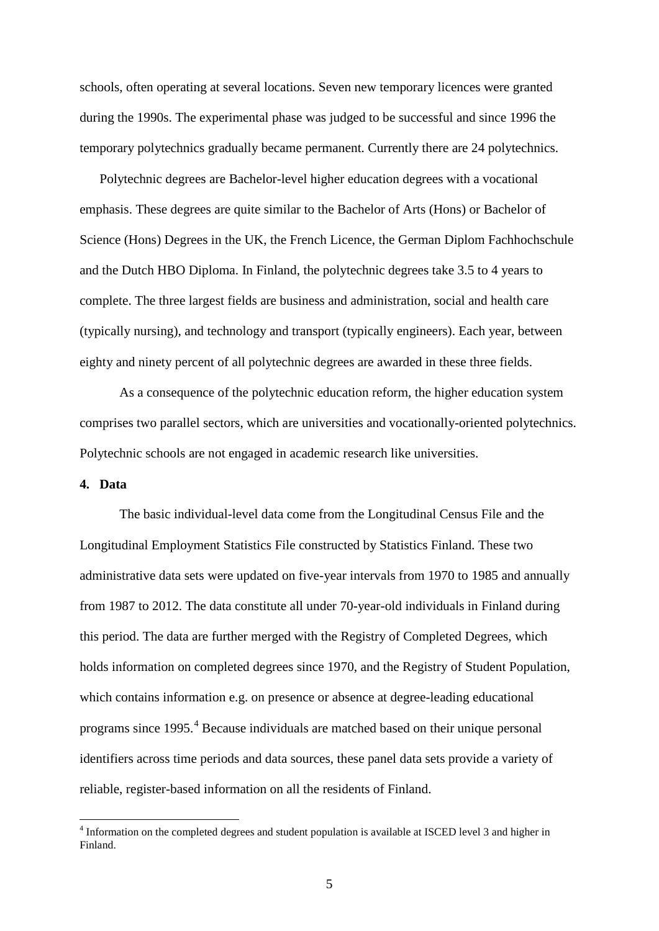schools, often operating at several locations. Seven new temporary licences were granted during the 1990s. The experimental phase was judged to be successful and since 1996 the temporary polytechnics gradually became permanent. Currently there are 24 polytechnics.

Polytechnic degrees are Bachelor-level higher education degrees with a vocational emphasis. These degrees are quite similar to the Bachelor of Arts (Hons) or Bachelor of Science (Hons) Degrees in the UK, the French Licence, the German Diplom Fachhochschule and the Dutch HBO Diploma. In Finland, the polytechnic degrees take 3.5 to 4 years to complete. The three largest fields are business and administration, social and health care (typically nursing), and technology and transport (typically engineers). Each year, between eighty and ninety percent of all polytechnic degrees are awarded in these three fields.

As a consequence of the polytechnic education reform, the higher education system comprises two parallel sectors, which are universities and vocationally-oriented polytechnics. Polytechnic schools are not engaged in academic research like universities.

#### **4. Data**

The basic individual-level data come from the Longitudinal Census File and the Longitudinal Employment Statistics File constructed by Statistics Finland. These two administrative data sets were updated on five-year intervals from 1970 to 1985 and annually from 1987 to 2012. The data constitute all under 70-year-old individuals in Finland during this period. The data are further merged with the Registry of Completed Degrees, which holds information on completed degrees since 1970, and the Registry of Student Population, which contains information e.g. on presence or absence at degree-leading educational programs since 1995. [4](#page-6-0) Because individuals are matched based on their unique personal identifiers across time periods and data sources, these panel data sets provide a variety of reliable, register-based information on all the residents of Finland.

<span id="page-7-0"></span><sup>&</sup>lt;sup>4</sup> Information on the completed degrees and student population is available at ISCED level 3 and higher in Finland.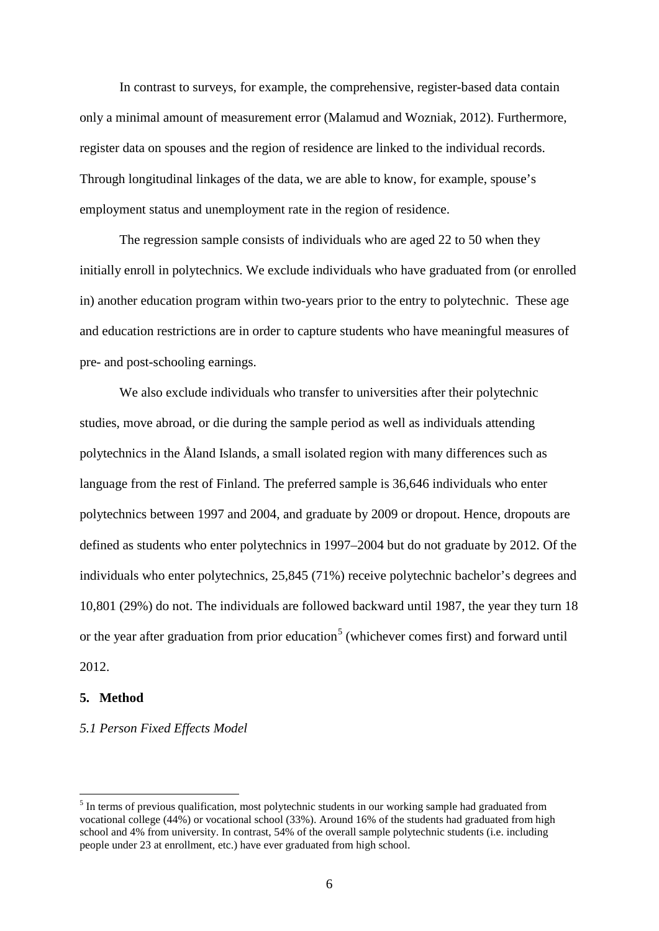In contrast to surveys, for example, the comprehensive, register-based data contain only a minimal amount of measurement error (Malamud and Wozniak, 2012). Furthermore, register data on spouses and the region of residence are linked to the individual records. Through longitudinal linkages of the data, we are able to know, for example, spouse's employment status and unemployment rate in the region of residence.

The regression sample consists of individuals who are aged 22 to 50 when they initially enroll in polytechnics. We exclude individuals who have graduated from (or enrolled in) another education program within two-years prior to the entry to polytechnic. These age and education restrictions are in order to capture students who have meaningful measures of pre- and post-schooling earnings.

We also exclude individuals who transfer to universities after their polytechnic studies, move abroad, or die during the sample period as well as individuals attending polytechnics in the Åland Islands, a small isolated region with many differences such as language from the rest of Finland. The preferred sample is 36,646 individuals who enter polytechnics between 1997 and 2004, and graduate by 2009 or dropout. Hence, dropouts are defined as students who enter polytechnics in 1997–2004 but do not graduate by 2012. Of the individuals who enter polytechnics, 25,845 (71%) receive polytechnic bachelor's degrees and 10,801 (29%) do not. The individuals are followed backward until 1987, the year they turn 18 or the year after graduation from prior education<sup>[5](#page-7-0)</sup> (whichever comes first) and forward until 2012.

#### **5. Method**

#### *5.1 Person Fixed Effects Model*

<span id="page-8-0"></span><sup>&</sup>lt;sup>5</sup> In terms of previous qualification, most polytechnic students in our working sample had graduated from vocational college (44%) or vocational school (33%). Around 16% of the students had graduated from high school and 4% from university. In contrast, 54% of the overall sample polytechnic students (i.e. including people under 23 at enrollment, etc.) have ever graduated from high school.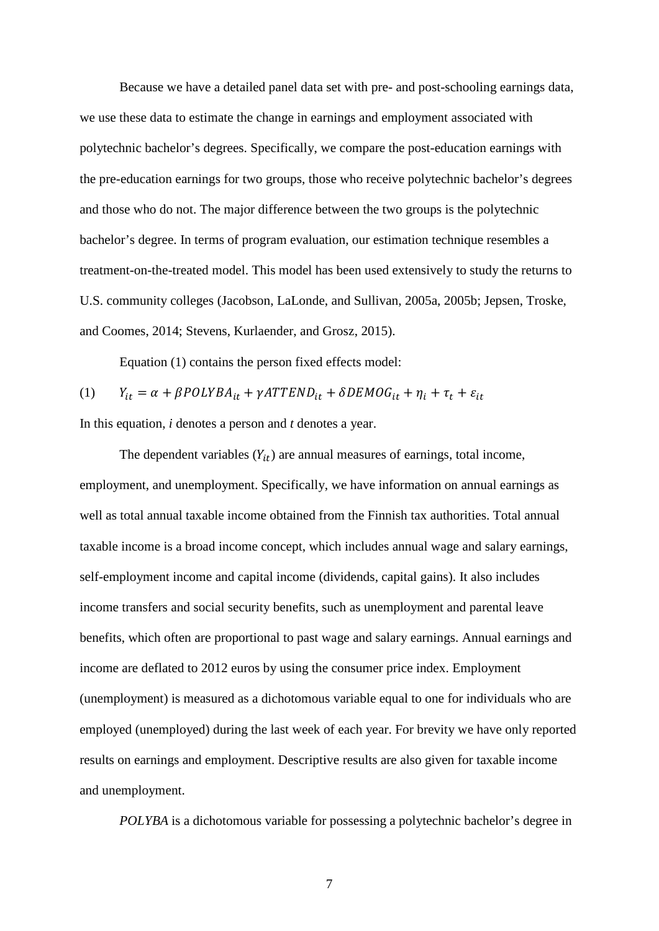Because we have a detailed panel data set with pre- and post-schooling earnings data, we use these data to estimate the change in earnings and employment associated with polytechnic bachelor's degrees. Specifically, we compare the post-education earnings with the pre-education earnings for two groups, those who receive polytechnic bachelor's degrees and those who do not. The major difference between the two groups is the polytechnic bachelor's degree. In terms of program evaluation, our estimation technique resembles a treatment-on-the-treated model. This model has been used extensively to study the returns to U.S. community colleges (Jacobson, LaLonde, and Sullivan, 2005a, 2005b; Jepsen, Troske, and Coomes, 2014; Stevens, Kurlaender, and Grosz, 2015).

Equation (1) contains the person fixed effects model:

$$
(1) \qquad Y_{it} = \alpha + \beta POLYBA_{it} + \gamma ATTEND_{it} + \delta DEMOG_{it} + \eta_i + \tau_t + \varepsilon_{it}
$$

In this equation, *i* denotes a person and *t* denotes a year.

The dependent variables  $(Y_{it})$  are annual measures of earnings, total income, employment, and unemployment. Specifically, we have information on annual earnings as well as total annual taxable income obtained from the Finnish tax authorities. Total annual taxable income is a broad income concept, which includes annual wage and salary earnings, self-employment income and capital income (dividends, capital gains). It also includes income transfers and social security benefits, such as unemployment and parental leave benefits, which often are proportional to past wage and salary earnings. Annual earnings and income are deflated to 2012 euros by using the consumer price index. Employment (unemployment) is measured as a dichotomous variable equal to one for individuals who are employed (unemployed) during the last week of each year. For brevity we have only reported results on earnings and employment. Descriptive results are also given for taxable income and unemployment.

*POLYBA* is a dichotomous variable for possessing a polytechnic bachelor's degree in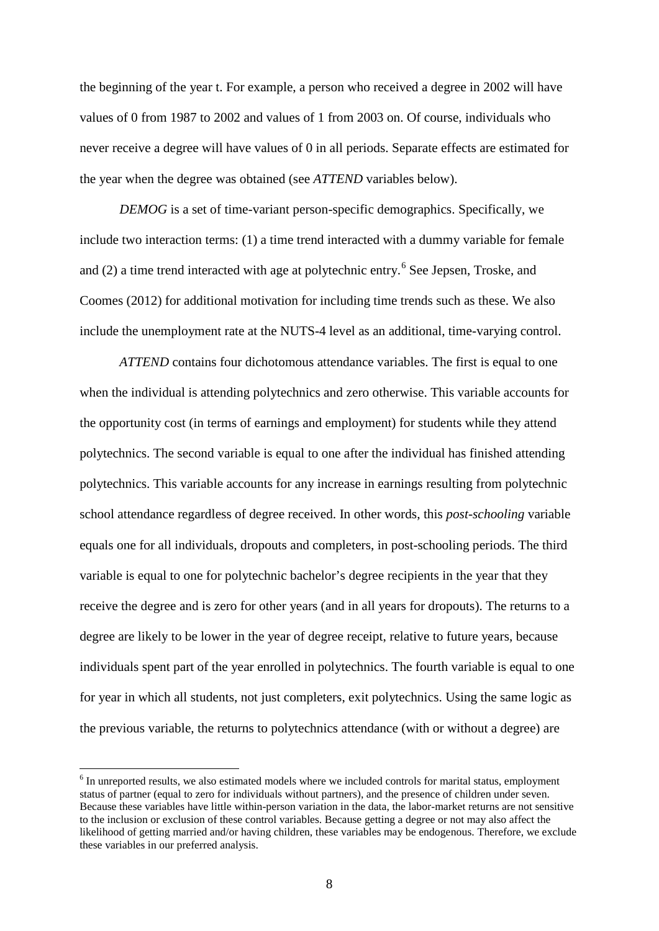the beginning of the year t. For example, a person who received a degree in 2002 will have values of 0 from 1987 to 2002 and values of 1 from 2003 on. Of course, individuals who never receive a degree will have values of 0 in all periods. Separate effects are estimated for the year when the degree was obtained (see *ATTEND* variables below).

*DEMOG* is a set of time-variant person-specific demographics. Specifically, we include two interaction terms: (1) a time trend interacted with a dummy variable for female and (2) a time trend interacted with age at polytechnic entry.<sup>[6](#page-8-0)</sup> See Jepsen, Troske, and Coomes (2012) for additional motivation for including time trends such as these. We also include the unemployment rate at the NUTS-4 level as an additional, time-varying control.

*ATTEND* contains four dichotomous attendance variables. The first is equal to one when the individual is attending polytechnics and zero otherwise. This variable accounts for the opportunity cost (in terms of earnings and employment) for students while they attend polytechnics. The second variable is equal to one after the individual has finished attending polytechnics. This variable accounts for any increase in earnings resulting from polytechnic school attendance regardless of degree received. In other words, this *post-schooling* variable equals one for all individuals, dropouts and completers, in post-schooling periods. The third variable is equal to one for polytechnic bachelor's degree recipients in the year that they receive the degree and is zero for other years (and in all years for dropouts). The returns to a degree are likely to be lower in the year of degree receipt, relative to future years, because individuals spent part of the year enrolled in polytechnics. The fourth variable is equal to one for year in which all students, not just completers, exit polytechnics. Using the same logic as the previous variable, the returns to polytechnics attendance (with or without a degree) are

<span id="page-10-0"></span><sup>&</sup>lt;sup>6</sup> In unreported results, we also estimated models where we included controls for marital status, employment status of partner (equal to zero for individuals without partners), and the presence of children under seven. Because these variables have little within-person variation in the data, the labor-market returns are not sensitive to the inclusion or exclusion of these control variables. Because getting a degree or not may also affect the likelihood of getting married and/or having children, these variables may be endogenous. Therefore, we exclude these variables in our preferred analysis.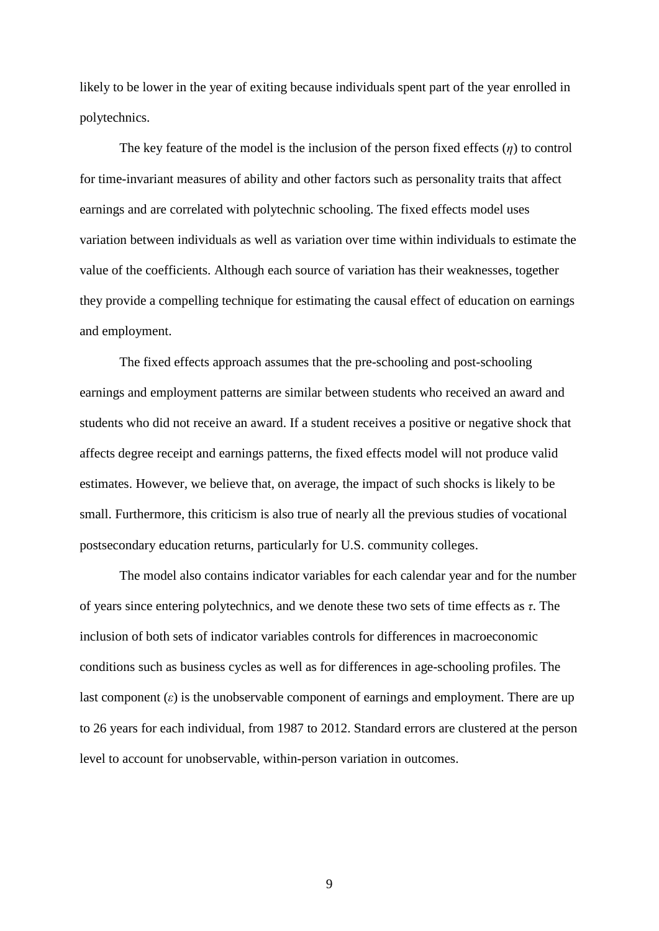likely to be lower in the year of exiting because individuals spent part of the year enrolled in polytechnics.

The key feature of the model is the inclusion of the person fixed effects (*η*) to control for time-invariant measures of ability and other factors such as personality traits that affect earnings and are correlated with polytechnic schooling. The fixed effects model uses variation between individuals as well as variation over time within individuals to estimate the value of the coefficients. Although each source of variation has their weaknesses, together they provide a compelling technique for estimating the causal effect of education on earnings and employment.

The fixed effects approach assumes that the pre-schooling and post-schooling earnings and employment patterns are similar between students who received an award and students who did not receive an award. If a student receives a positive or negative shock that affects degree receipt and earnings patterns, the fixed effects model will not produce valid estimates. However, we believe that, on average, the impact of such shocks is likely to be small. Furthermore, this criticism is also true of nearly all the previous studies of vocational postsecondary education returns, particularly for U.S. community colleges.

The model also contains indicator variables for each calendar year and for the number of years since entering polytechnics, and we denote these two sets of time effects as *τ*. The inclusion of both sets of indicator variables controls for differences in macroeconomic conditions such as business cycles as well as for differences in age-schooling profiles. The last component (*ε*) is the unobservable component of earnings and employment. There are up to 26 years for each individual, from 1987 to 2012. Standard errors are clustered at the person level to account for unobservable, within-person variation in outcomes.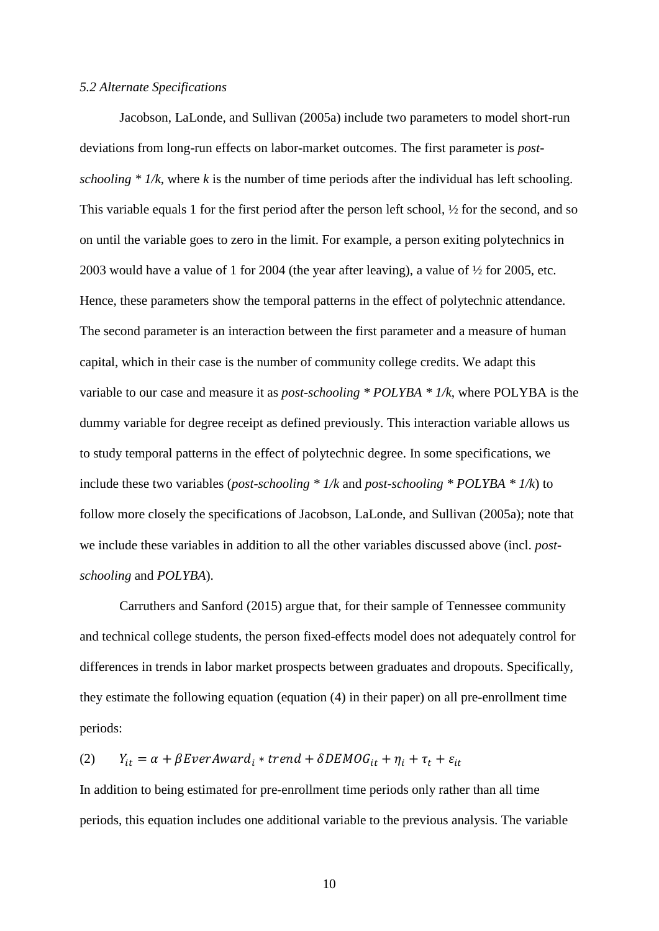#### *5.2 Alternate Specifications*

Jacobson, LaLonde, and Sullivan (2005a) include two parameters to model short-run deviations from long-run effects on labor-market outcomes. The first parameter is *postschooling*  $* 1/k$ , where k is the number of time periods after the individual has left schooling. This variable equals 1 for the first period after the person left school, ½ for the second, and so on until the variable goes to zero in the limit. For example, a person exiting polytechnics in 2003 would have a value of 1 for 2004 (the year after leaving), a value of ½ for 2005, etc. Hence, these parameters show the temporal patterns in the effect of polytechnic attendance. The second parameter is an interaction between the first parameter and a measure of human capital, which in their case is the number of community college credits. We adapt this variable to our case and measure it as *post-schooling \* POLYBA \* 1/k*, where POLYBA is the dummy variable for degree receipt as defined previously. This interaction variable allows us to study temporal patterns in the effect of polytechnic degree. In some specifications, we include these two variables (*post-schooling \* 1/k* and *post-schooling \* POLYBA \* 1/k*) to follow more closely the specifications of Jacobson, LaLonde, and Sullivan (2005a); note that we include these variables in addition to all the other variables discussed above (incl. *postschooling* and *POLYBA*).

Carruthers and Sanford (2015) argue that, for their sample of Tennessee community and technical college students, the person fixed-effects model does not adequately control for differences in trends in labor market prospects between graduates and dropouts. Specifically, they estimate the following equation (equation (4) in their paper) on all pre-enrollment time periods:

(2)  $Y_{it} = \alpha + \beta E \nu e r A w a r d_i * t r e n d + \delta D E M O G_{it} + \eta_i + \tau_t + \varepsilon_{it}$ 

In addition to being estimated for pre-enrollment time periods only rather than all time periods, this equation includes one additional variable to the previous analysis. The variable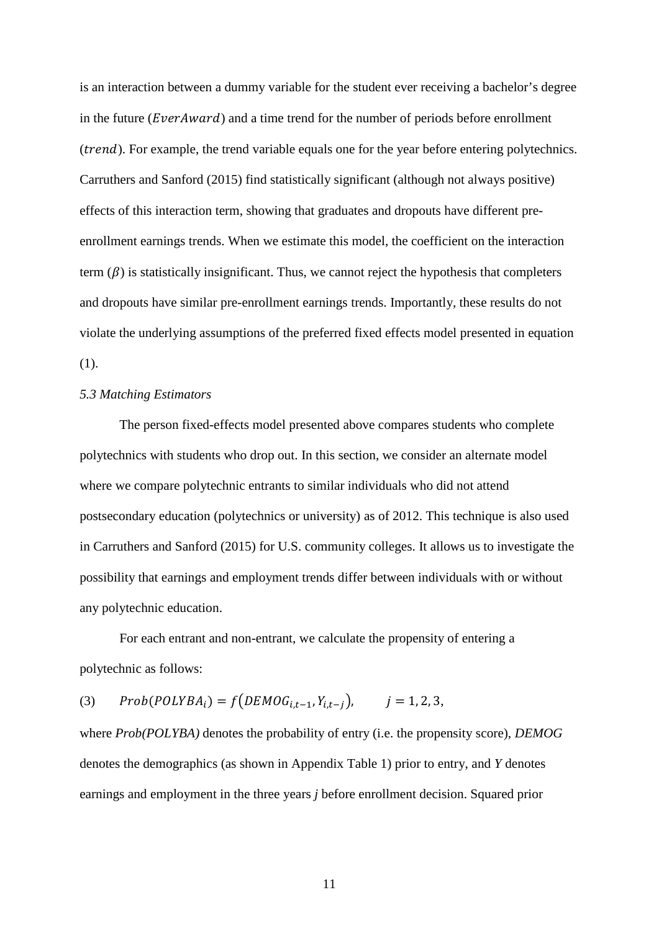is an interaction between a dummy variable for the student ever receiving a bachelor's degree in the future ( $EventAward$ ) and a time trend for the number of periods before enrollment (*trend*). For example, the trend variable equals one for the year before entering polytechnics. Carruthers and Sanford (2015) find statistically significant (although not always positive) effects of this interaction term, showing that graduates and dropouts have different preenrollment earnings trends. When we estimate this model, the coefficient on the interaction term  $(\beta)$  is statistically insignificant. Thus, we cannot reject the hypothesis that completers and dropouts have similar pre-enrollment earnings trends. Importantly, these results do not violate the underlying assumptions of the preferred fixed effects model presented in equation (1).

#### *5.3 Matching Estimators*

The person fixed-effects model presented above compares students who complete polytechnics with students who drop out. In this section, we consider an alternate model where we compare polytechnic entrants to similar individuals who did not attend postsecondary education (polytechnics or university) as of 2012. This technique is also used in Carruthers and Sanford (2015) for U.S. community colleges. It allows us to investigate the possibility that earnings and employment trends differ between individuals with or without any polytechnic education.

For each entrant and non-entrant, we calculate the propensity of entering a polytechnic as follows:

(3)  $Prob(POLYBA_i) = f(DEMOG_{i,t-1}, Y_{i,t-i}),$   $j = 1, 2, 3,$ 

where *Prob(POLYBA)* denotes the probability of entry (i.e. the propensity score), *DEMOG* denotes the demographics (as shown in Appendix Table 1) prior to entry, and *Y* denotes earnings and employment in the three years *j* before enrollment decision. Squared prior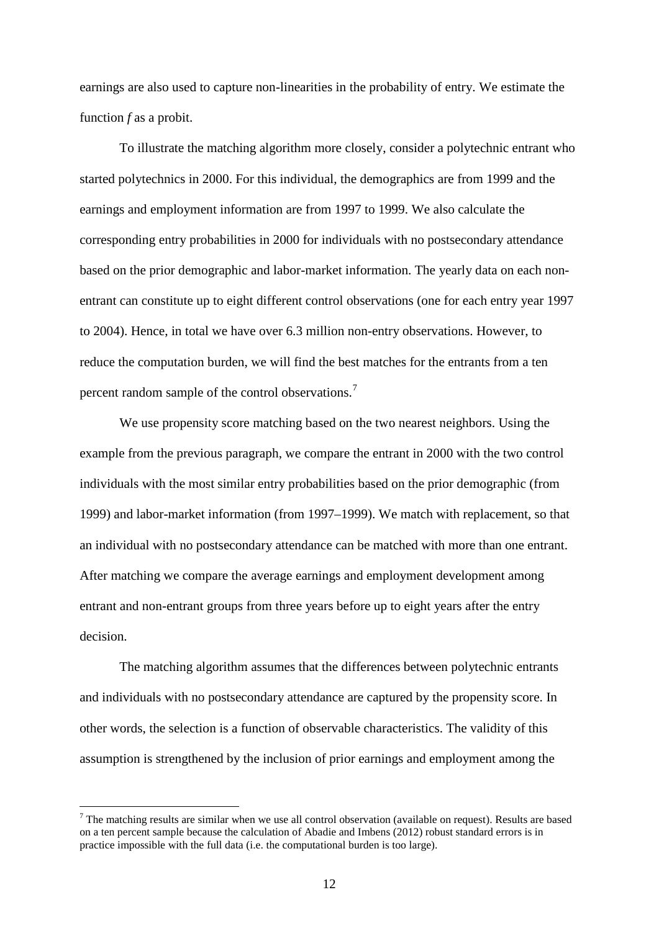earnings are also used to capture non-linearities in the probability of entry. We estimate the function *f* as a probit.

To illustrate the matching algorithm more closely, consider a polytechnic entrant who started polytechnics in 2000. For this individual, the demographics are from 1999 and the earnings and employment information are from 1997 to 1999. We also calculate the corresponding entry probabilities in 2000 for individuals with no postsecondary attendance based on the prior demographic and labor-market information. The yearly data on each nonentrant can constitute up to eight different control observations (one for each entry year 1997 to 2004). Hence, in total we have over 6.3 million non-entry observations. However, to reduce the computation burden, we will find the best matches for the entrants from a ten percent random sample of the control observations.<sup>[7](#page-10-0)</sup>

We use propensity score matching based on the two nearest neighbors. Using the example from the previous paragraph, we compare the entrant in 2000 with the two control individuals with the most similar entry probabilities based on the prior demographic (from 1999) and labor-market information (from 1997–1999). We match with replacement, so that an individual with no postsecondary attendance can be matched with more than one entrant. After matching we compare the average earnings and employment development among entrant and non-entrant groups from three years before up to eight years after the entry decision.

The matching algorithm assumes that the differences between polytechnic entrants and individuals with no postsecondary attendance are captured by the propensity score. In other words, the selection is a function of observable characteristics. The validity of this assumption is strengthened by the inclusion of prior earnings and employment among the

<span id="page-14-0"></span><sup>&</sup>lt;sup>7</sup> The matching results are similar when we use all control observation (available on request). Results are based on a ten percent sample because the calculation of Abadie and Imbens (2012) robust standard errors is in practice impossible with the full data (i.e. the computational burden is too large).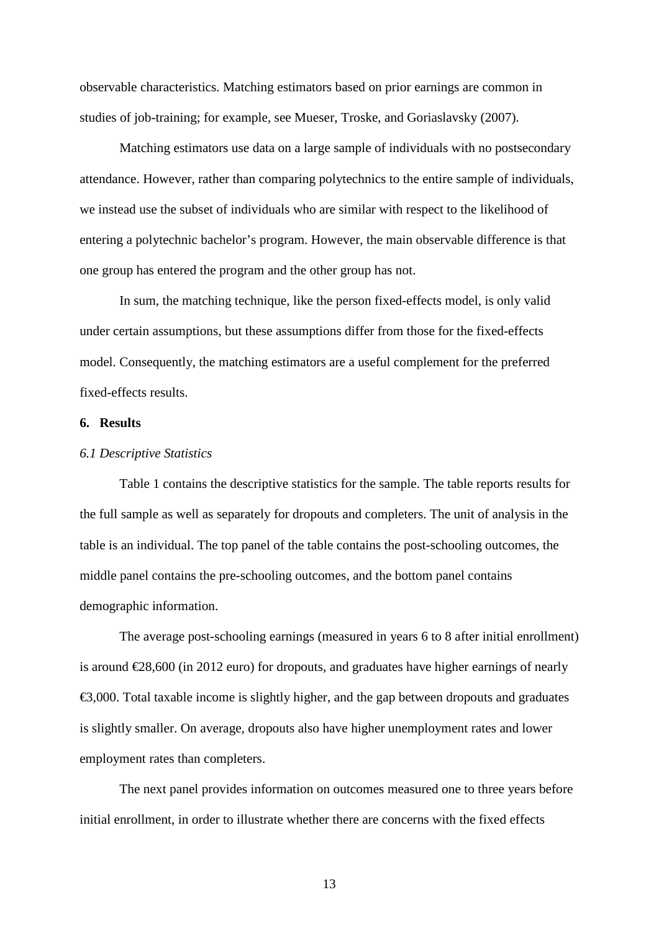observable characteristics. Matching estimators based on prior earnings are common in studies of job-training; for example, see Mueser, Troske, and Goriaslavsky (2007).

Matching estimators use data on a large sample of individuals with no postsecondary attendance. However, rather than comparing polytechnics to the entire sample of individuals, we instead use the subset of individuals who are similar with respect to the likelihood of entering a polytechnic bachelor's program. However, the main observable difference is that one group has entered the program and the other group has not.

In sum, the matching technique, like the person fixed-effects model, is only valid under certain assumptions, but these assumptions differ from those for the fixed-effects model. Consequently, the matching estimators are a useful complement for the preferred fixed-effects results.

#### **6. Results**

#### *6.1 Descriptive Statistics*

Table 1 contains the descriptive statistics for the sample. The table reports results for the full sample as well as separately for dropouts and completers. The unit of analysis in the table is an individual. The top panel of the table contains the post-schooling outcomes, the middle panel contains the pre-schooling outcomes, and the bottom panel contains demographic information.

The average post-schooling earnings (measured in years 6 to 8 after initial enrollment) is around €28,600 (in 2012 euro) for dropouts, and graduates have higher earnings of nearly  $\epsilon$ 3,000. Total taxable income is slightly higher, and the gap between dropouts and graduates is slightly smaller. On average, dropouts also have higher unemployment rates and lower employment rates than completers.

The next panel provides information on outcomes measured one to three years before initial enrollment, in order to illustrate whether there are concerns with the fixed effects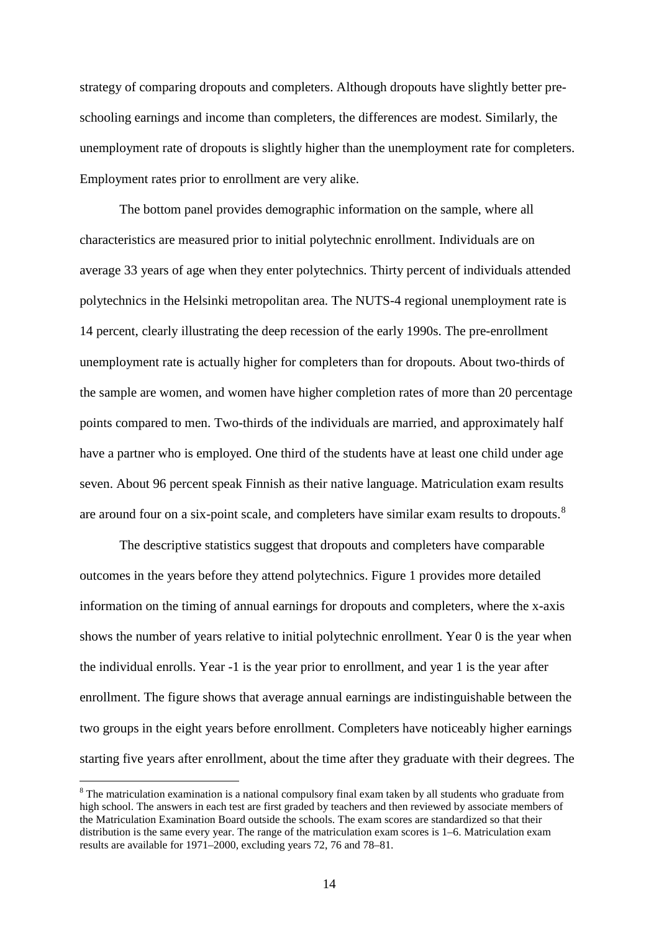strategy of comparing dropouts and completers. Although dropouts have slightly better preschooling earnings and income than completers, the differences are modest. Similarly, the unemployment rate of dropouts is slightly higher than the unemployment rate for completers. Employment rates prior to enrollment are very alike.

The bottom panel provides demographic information on the sample, where all characteristics are measured prior to initial polytechnic enrollment. Individuals are on average 33 years of age when they enter polytechnics. Thirty percent of individuals attended polytechnics in the Helsinki metropolitan area. The NUTS-4 regional unemployment rate is 14 percent, clearly illustrating the deep recession of the early 1990s. The pre-enrollment unemployment rate is actually higher for completers than for dropouts. About two-thirds of the sample are women, and women have higher completion rates of more than 20 percentage points compared to men. Two-thirds of the individuals are married, and approximately half have a partner who is employed. One third of the students have at least one child under age seven. About 96 percent speak Finnish as their native language. Matriculation exam results are around four on a six-point scale, and completers have similar exam results to dropouts.<sup>[8](#page-14-0)</sup>

The descriptive statistics suggest that dropouts and completers have comparable outcomes in the years before they attend polytechnics. Figure 1 provides more detailed information on the timing of annual earnings for dropouts and completers, where the x-axis shows the number of years relative to initial polytechnic enrollment. Year 0 is the year when the individual enrolls. Year -1 is the year prior to enrollment, and year 1 is the year after enrollment. The figure shows that average annual earnings are indistinguishable between the two groups in the eight years before enrollment. Completers have noticeably higher earnings starting five years after enrollment, about the time after they graduate with their degrees. The

<span id="page-16-0"></span><sup>&</sup>lt;sup>8</sup> The matriculation examination is a national compulsory final exam taken by all students who graduate from high school. The answers in each test are first graded by teachers and then reviewed by associate members of the Matriculation Examination Board outside the schools. The exam scores are standardized so that their distribution is the same every year. The range of the matriculation exam scores is 1–6. Matriculation exam results are available for 1971–2000, excluding years 72, 76 and 78–81.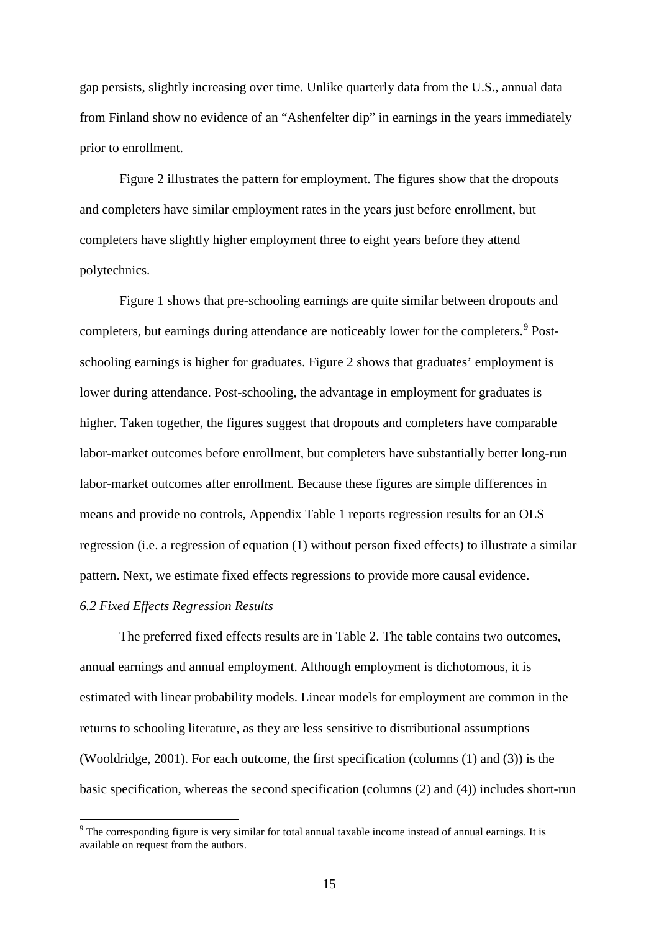gap persists, slightly increasing over time. Unlike quarterly data from the U.S., annual data from Finland show no evidence of an "Ashenfelter dip" in earnings in the years immediately prior to enrollment.

Figure 2 illustrates the pattern for employment. The figures show that the dropouts and completers have similar employment rates in the years just before enrollment, but completers have slightly higher employment three to eight years before they attend polytechnics.

Figure 1 shows that pre-schooling earnings are quite similar between dropouts and completers, but earnings during attendance are noticeably lower for the completers.<sup>[9](#page-16-0)</sup> Postschooling earnings is higher for graduates. Figure 2 shows that graduates' employment is lower during attendance. Post-schooling, the advantage in employment for graduates is higher. Taken together, the figures suggest that dropouts and completers have comparable labor-market outcomes before enrollment, but completers have substantially better long-run labor-market outcomes after enrollment. Because these figures are simple differences in means and provide no controls, Appendix Table 1 reports regression results for an OLS regression (i.e. a regression of equation (1) without person fixed effects) to illustrate a similar pattern. Next, we estimate fixed effects regressions to provide more causal evidence.

#### *6.2 Fixed Effects Regression Results*

The preferred fixed effects results are in Table 2. The table contains two outcomes, annual earnings and annual employment. Although employment is dichotomous, it is estimated with linear probability models. Linear models for employment are common in the returns to schooling literature, as they are less sensitive to distributional assumptions (Wooldridge, 2001). For each outcome, the first specification (columns (1) and (3)) is the basic specification, whereas the second specification (columns (2) and (4)) includes short-run

<span id="page-17-0"></span><sup>&</sup>lt;sup>9</sup> The corresponding figure is very similar for total annual taxable income instead of annual earnings. It is available on request from the authors.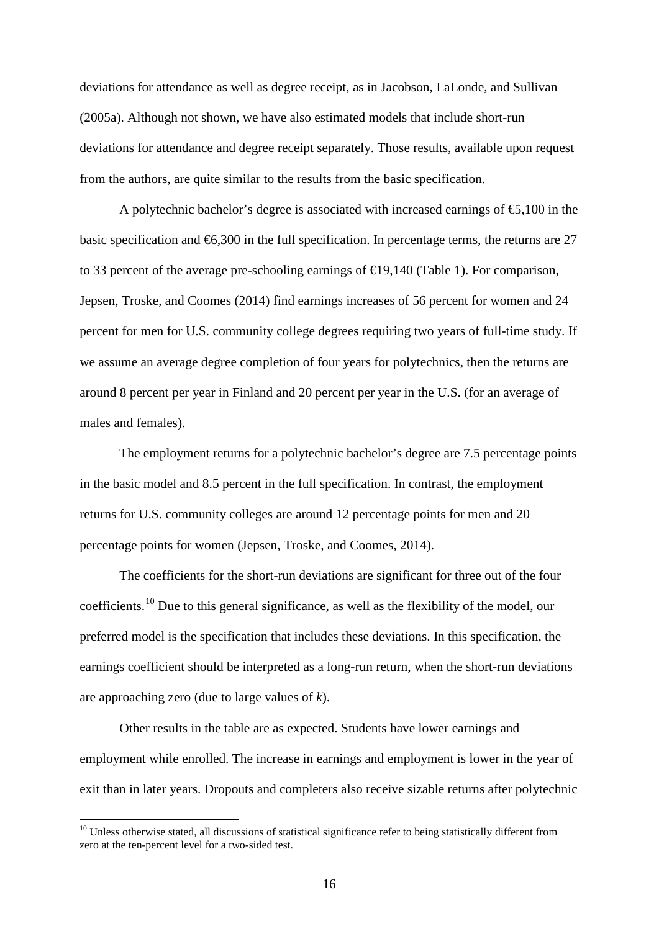deviations for attendance as well as degree receipt, as in Jacobson, LaLonde, and Sullivan (2005a). Although not shown, we have also estimated models that include short-run deviations for attendance and degree receipt separately. Those results, available upon request from the authors, are quite similar to the results from the basic specification.

A polytechnic bachelor's degree is associated with increased earnings of  $\epsilon$ 5,100 in the basic specification and  $\epsilon$ 6,300 in the full specification. In percentage terms, the returns are 27 to 33 percent of the average pre-schooling earnings of €19,140 (Table 1). For comparison, Jepsen, Troske, and Coomes (2014) find earnings increases of 56 percent for women and 24 percent for men for U.S. community college degrees requiring two years of full-time study. If we assume an average degree completion of four years for polytechnics, then the returns are around 8 percent per year in Finland and 20 percent per year in the U.S. (for an average of males and females).

The employment returns for a polytechnic bachelor's degree are 7.5 percentage points in the basic model and 8.5 percent in the full specification. In contrast, the employment returns for U.S. community colleges are around 12 percentage points for men and 20 percentage points for women (Jepsen, Troske, and Coomes, 2014).

The coefficients for the short-run deviations are significant for three out of the four coefficients.<sup>[10](#page-17-0)</sup> Due to this general significance, as well as the flexibility of the model, our preferred model is the specification that includes these deviations. In this specification, the earnings coefficient should be interpreted as a long-run return, when the short-run deviations are approaching zero (due to large values of *k*).

Other results in the table are as expected. Students have lower earnings and employment while enrolled. The increase in earnings and employment is lower in the year of exit than in later years. Dropouts and completers also receive sizable returns after polytechnic

<span id="page-18-0"></span> $10$  Unless otherwise stated, all discussions of statistical significance refer to being statistically different from zero at the ten-percent level for a two-sided test.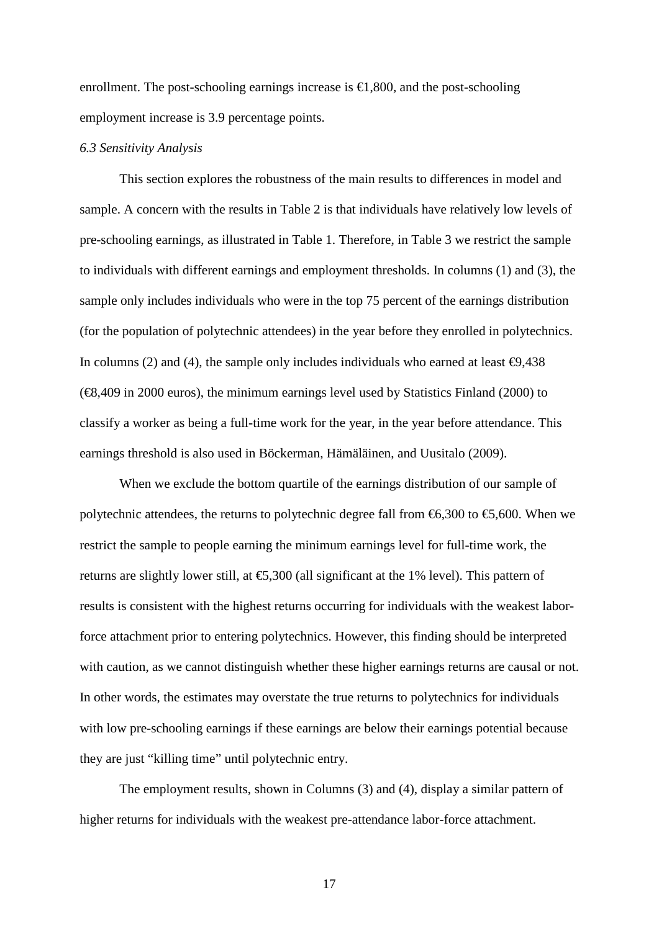enrollment. The post-schooling earnings increase is  $\in$ 1,800, and the post-schooling employment increase is 3.9 percentage points.

#### *6.3 Sensitivity Analysis*

This section explores the robustness of the main results to differences in model and sample. A concern with the results in Table 2 is that individuals have relatively low levels of pre-schooling earnings, as illustrated in Table 1. Therefore, in Table 3 we restrict the sample to individuals with different earnings and employment thresholds. In columns (1) and (3), the sample only includes individuals who were in the top 75 percent of the earnings distribution (for the population of polytechnic attendees) in the year before they enrolled in polytechnics. In columns (2) and (4), the sample only includes individuals who earned at least  $\Theta$ ,438 (€8,409 in 2000 euros), the minimum earnings level used by Statistics Finland (2000) to classify a worker as being a full-time work for the year, in the year before attendance. This earnings threshold is also used in Böckerman, Hämäläinen, and Uusitalo (2009).

When we exclude the bottom quartile of the earnings distribution of our sample of polytechnic attendees, the returns to polytechnic degree fall from  $\mathfrak{S}$ ,300 to  $\mathfrak{S}$ ,600. When we restrict the sample to people earning the minimum earnings level for full-time work, the returns are slightly lower still, at  $\epsilon$ 5,300 (all significant at the 1% level). This pattern of results is consistent with the highest returns occurring for individuals with the weakest laborforce attachment prior to entering polytechnics. However, this finding should be interpreted with caution, as we cannot distinguish whether these higher earnings returns are causal or not. In other words, the estimates may overstate the true returns to polytechnics for individuals with low pre-schooling earnings if these earnings are below their earnings potential because they are just "killing time" until polytechnic entry.

The employment results, shown in Columns (3) and (4), display a similar pattern of higher returns for individuals with the weakest pre-attendance labor-force attachment.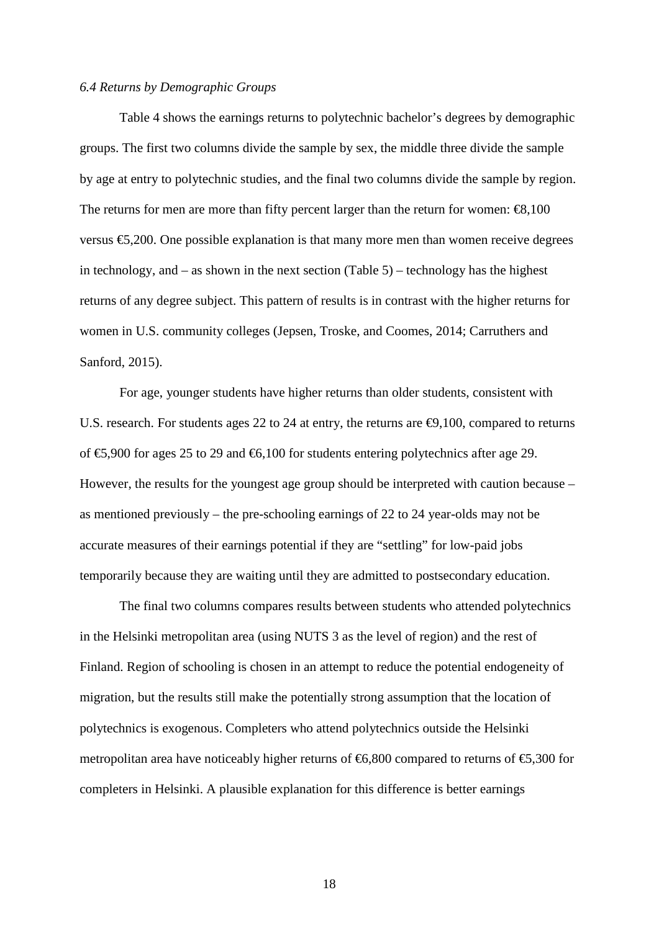#### *6.4 Returns by Demographic Groups*

Table 4 shows the earnings returns to polytechnic bachelor's degrees by demographic groups. The first two columns divide the sample by sex, the middle three divide the sample by age at entry to polytechnic studies, and the final two columns divide the sample by region. The returns for men are more than fifty percent larger than the return for women:  $\epsilon$ 8,100 versus  $\epsilon$ 5,200. One possible explanation is that many more men than women receive degrees in technology, and – as shown in the next section (Table 5) – technology has the highest returns of any degree subject. This pattern of results is in contrast with the higher returns for women in U.S. community colleges (Jepsen, Troske, and Coomes, 2014; Carruthers and Sanford, 2015).

For age, younger students have higher returns than older students, consistent with U.S. research. For students ages 22 to 24 at entry, the returns are  $\Theta$ , 100, compared to returns of  $\epsilon$ 5,900 for ages 25 to 29 and  $\epsilon$ 6,100 for students entering polytechnics after age 29. However, the results for the youngest age group should be interpreted with caution because – as mentioned previously – the pre-schooling earnings of 22 to 24 year-olds may not be accurate measures of their earnings potential if they are "settling" for low-paid jobs temporarily because they are waiting until they are admitted to postsecondary education.

The final two columns compares results between students who attended polytechnics in the Helsinki metropolitan area (using NUTS 3 as the level of region) and the rest of Finland. Region of schooling is chosen in an attempt to reduce the potential endogeneity of migration, but the results still make the potentially strong assumption that the location of polytechnics is exogenous. Completers who attend polytechnics outside the Helsinki metropolitan area have noticeably higher returns of  $\epsilon$ 6,800 compared to returns of  $\epsilon$ 5,300 for completers in Helsinki. A plausible explanation for this difference is better earnings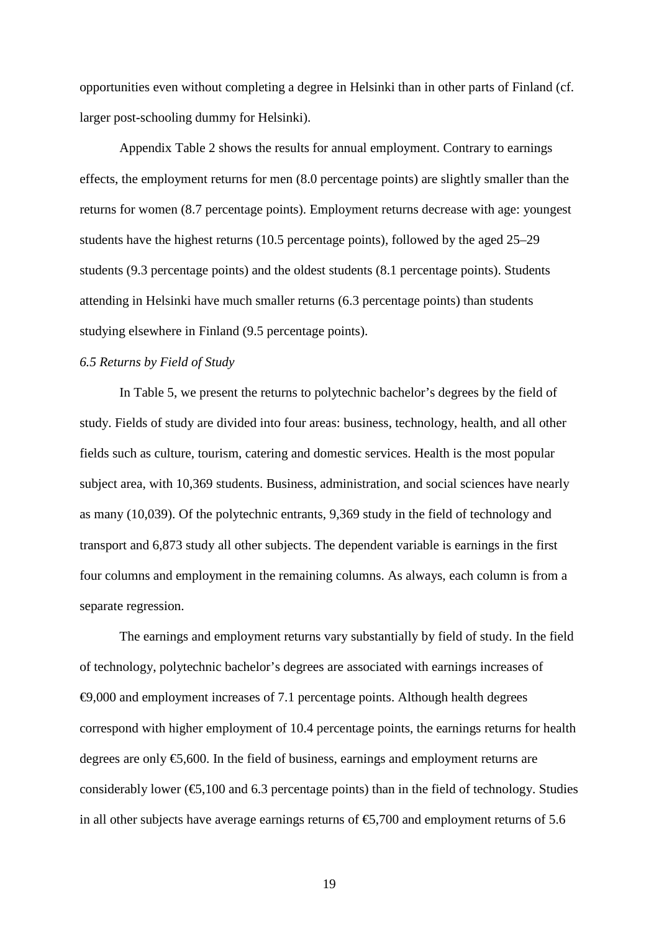opportunities even without completing a degree in Helsinki than in other parts of Finland (cf. larger post-schooling dummy for Helsinki).

Appendix Table 2 shows the results for annual employment. Contrary to earnings effects, the employment returns for men (8.0 percentage points) are slightly smaller than the returns for women (8.7 percentage points). Employment returns decrease with age: youngest students have the highest returns (10.5 percentage points), followed by the aged 25–29 students (9.3 percentage points) and the oldest students (8.1 percentage points). Students attending in Helsinki have much smaller returns (6.3 percentage points) than students studying elsewhere in Finland (9.5 percentage points).

#### *6.5 Returns by Field of Study*

In Table 5, we present the returns to polytechnic bachelor's degrees by the field of study. Fields of study are divided into four areas: business, technology, health, and all other fields such as culture, tourism, catering and domestic services. Health is the most popular subject area, with 10,369 students. Business, administration, and social sciences have nearly as many (10,039). Of the polytechnic entrants, 9,369 study in the field of technology and transport and 6,873 study all other subjects. The dependent variable is earnings in the first four columns and employment in the remaining columns. As always, each column is from a separate regression.

The earnings and employment returns vary substantially by field of study. In the field of technology, polytechnic bachelor's degrees are associated with earnings increases of €9,000 and employment increases of 7.1 percentage points. Although health degrees correspond with higher employment of 10.4 percentage points, the earnings returns for health degrees are only €5,600. In the field of business, earnings and employment returns are considerably lower  $(\mathfrak{S},100$  and 6.3 percentage points) than in the field of technology. Studies in all other subjects have average earnings returns of  $\epsilon$ 5,700 and employment returns of 5.6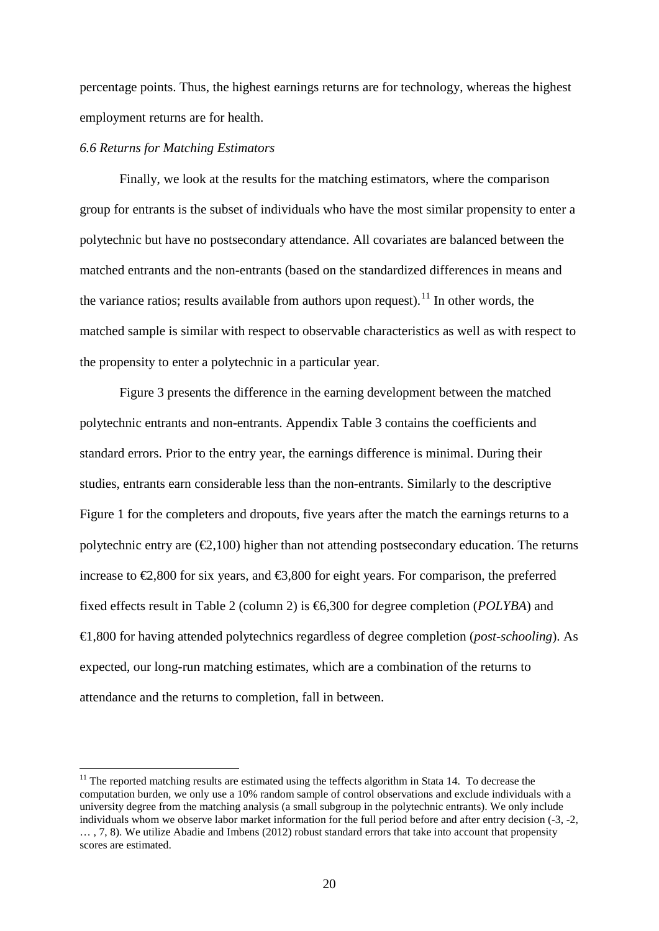percentage points. Thus, the highest earnings returns are for technology, whereas the highest employment returns are for health.

#### *6.6 Returns for Matching Estimators*

Finally, we look at the results for the matching estimators, where the comparison group for entrants is the subset of individuals who have the most similar propensity to enter a polytechnic but have no postsecondary attendance. All covariates are balanced between the matched entrants and the non-entrants (based on the standardized differences in means and the variance ratios; results available from authors upon request).<sup>[11](#page-18-0)</sup> In other words, the matched sample is similar with respect to observable characteristics as well as with respect to the propensity to enter a polytechnic in a particular year.

Figure 3 presents the difference in the earning development between the matched polytechnic entrants and non-entrants. Appendix Table 3 contains the coefficients and standard errors. Prior to the entry year, the earnings difference is minimal. During their studies, entrants earn considerable less than the non-entrants. Similarly to the descriptive Figure 1 for the completers and dropouts, five years after the match the earnings returns to a polytechnic entry are  $(\mathcal{Q}, 100)$  higher than not attending postsecondary education. The returns increase to  $\epsilon$ ,800 for six years, and  $\epsilon$ 3,800 for eight years. For comparison, the preferred fixed effects result in Table 2 (column 2) is €6,300 for degree completion (*POLYBA*) and €1,800 for having attended polytechnics regardless of degree completion (*post-schooling*). As expected, our long-run matching estimates, which are a combination of the returns to attendance and the returns to completion, fall in between.

<span id="page-22-0"></span><sup>&</sup>lt;sup>11</sup> The reported matching results are estimated using the teffects algorithm in Stata 14. To decrease the computation burden, we only use a 10% random sample of control observations and exclude individuals with a university degree from the matching analysis (a small subgroup in the polytechnic entrants). We only include individuals whom we observe labor market information for the full period before and after entry decision (-3, -2, … , 7, 8). We utilize Abadie and Imbens (2012) robust standard errors that take into account that propensity scores are estimated.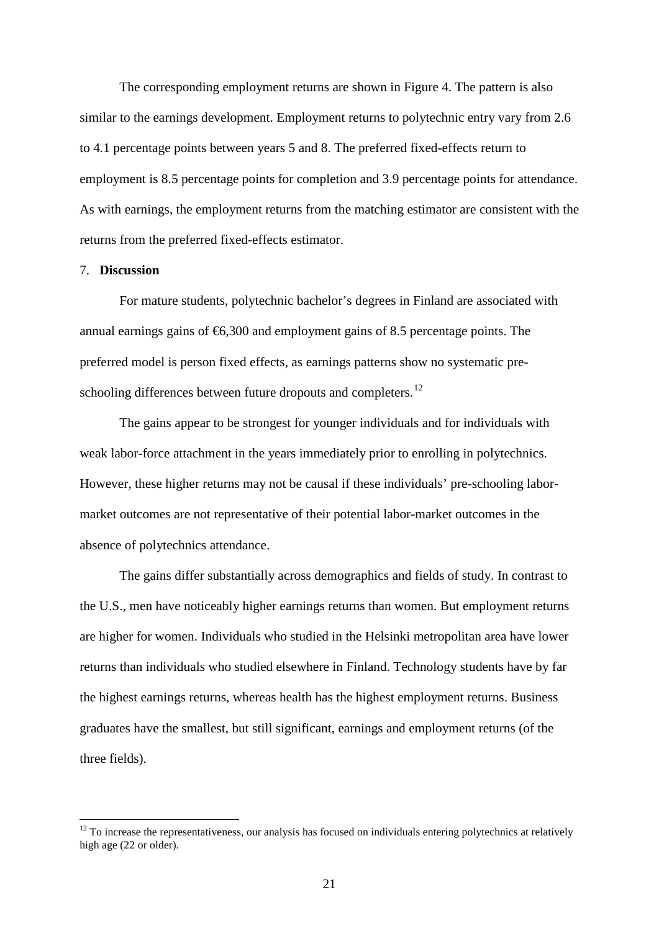The corresponding employment returns are shown in Figure 4. The pattern is also similar to the earnings development. Employment returns to polytechnic entry vary from 2.6 to 4.1 percentage points between years 5 and 8. The preferred fixed-effects return to employment is 8.5 percentage points for completion and 3.9 percentage points for attendance. As with earnings, the employment returns from the matching estimator are consistent with the returns from the preferred fixed-effects estimator.

#### 7. **Discussion**

For mature students, polytechnic bachelor's degrees in Finland are associated with annual earnings gains of  $\epsilon$ 6,300 and employment gains of 8.5 percentage points. The preferred model is person fixed effects, as earnings patterns show no systematic pre-schooling differences between future dropouts and completers.<sup>[12](#page-22-0)</sup>

The gains appear to be strongest for younger individuals and for individuals with weak labor-force attachment in the years immediately prior to enrolling in polytechnics. However, these higher returns may not be causal if these individuals' pre-schooling labormarket outcomes are not representative of their potential labor-market outcomes in the absence of polytechnics attendance.

The gains differ substantially across demographics and fields of study. In contrast to the U.S., men have noticeably higher earnings returns than women. But employment returns are higher for women. Individuals who studied in the Helsinki metropolitan area have lower returns than individuals who studied elsewhere in Finland. Technology students have by far the highest earnings returns, whereas health has the highest employment returns. Business graduates have the smallest, but still significant, earnings and employment returns (of the three fields).

 $12$  To increase the representativeness, our analysis has focused on individuals entering polytechnics at relatively high age (22 or older).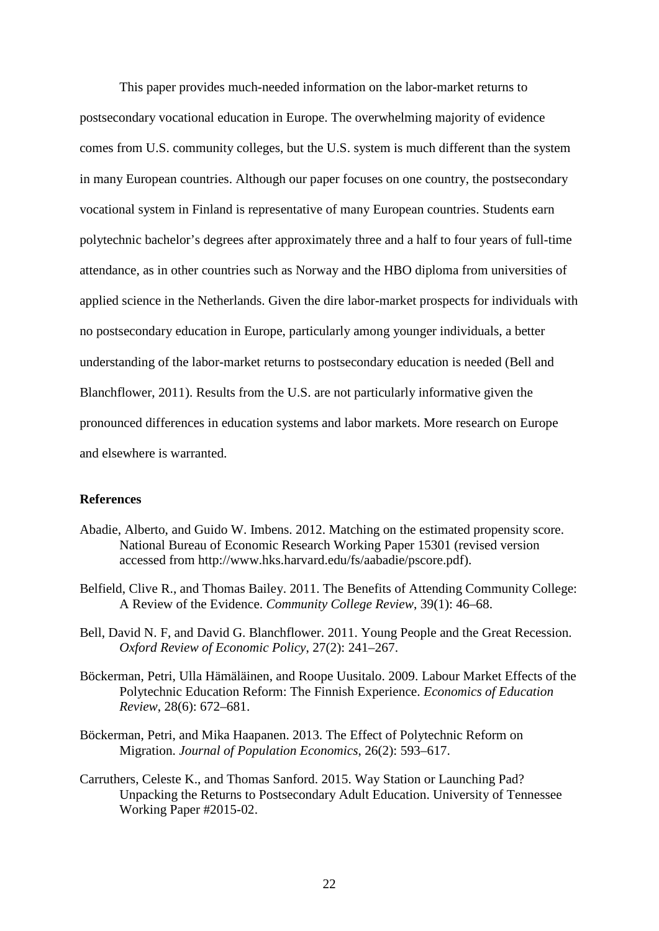This paper provides much-needed information on the labor-market returns to postsecondary vocational education in Europe. The overwhelming majority of evidence comes from U.S. community colleges, but the U.S. system is much different than the system in many European countries. Although our paper focuses on one country, the postsecondary vocational system in Finland is representative of many European countries. Students earn polytechnic bachelor's degrees after approximately three and a half to four years of full-time attendance, as in other countries such as Norway and the HBO diploma from universities of applied science in the Netherlands. Given the dire labor-market prospects for individuals with no postsecondary education in Europe, particularly among younger individuals, a better understanding of the labor-market returns to postsecondary education is needed (Bell and Blanchflower, 2011). Results from the U.S. are not particularly informative given the pronounced differences in education systems and labor markets. More research on Europe and elsewhere is warranted.

#### **References**

- Abadie, Alberto, and Guido W. Imbens. 2012. Matching on the estimated propensity score. National Bureau of Economic Research Working Paper 15301 (revised version accessed from http://www.hks.harvard.edu/fs/aabadie/pscore.pdf).
- Belfield, Clive R., and Thomas Bailey. 2011. The Benefits of Attending Community College: A Review of the Evidence. *Community College Review*, 39(1): 46–68.
- Bell, David N. F, and David G. Blanchflower. 2011. Young People and the Great Recession. *Oxford Review of Economic Policy*, 27(2): 241–267.
- Böckerman, Petri, Ulla Hämäläinen, and Roope Uusitalo. 2009. Labour Market Effects of the Polytechnic Education Reform: The Finnish Experience. *Economics of Education Review*, 28(6): 672–681.
- Böckerman, Petri, and Mika Haapanen. 2013. The Effect of Polytechnic Reform on Migration. *Journal of Population Economics*, 26(2): 593–617.
- Carruthers, Celeste K., and Thomas Sanford. 2015. Way Station or Launching Pad? Unpacking the Returns to Postsecondary Adult Education. University of Tennessee Working Paper #2015-02.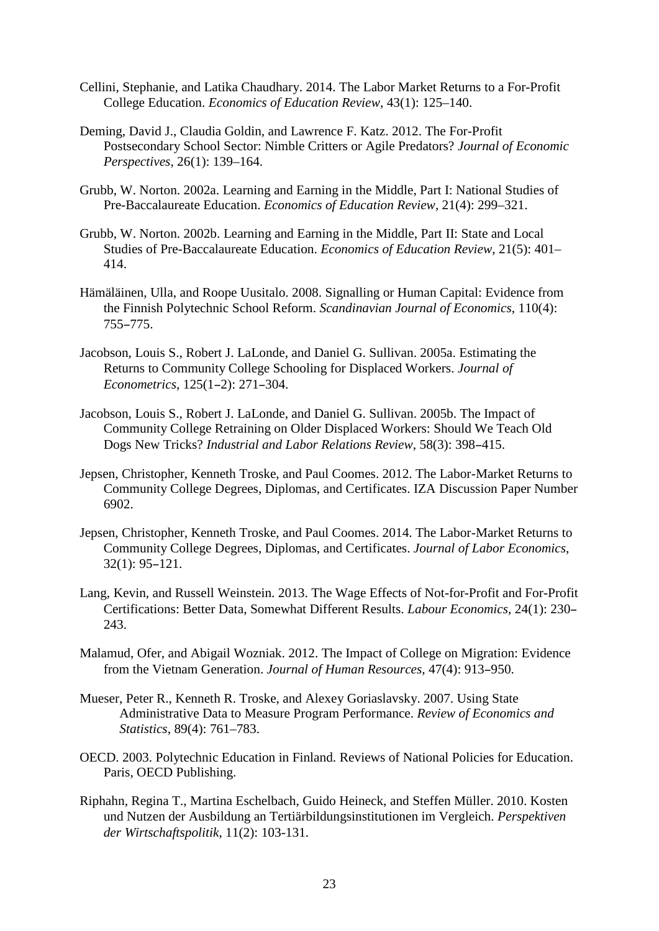- Cellini, Stephanie, and Latika Chaudhary. 2014. The Labor Market Returns to a For-Profit College Education. *Economics of Education Review*, 43(1): 125–140.
- Deming, David J., Claudia Goldin, and Lawrence F. Katz. 2012. The For-Profit Postsecondary School Sector: Nimble Critters or Agile Predators? *Journal of Economic Perspectives*, 26(1): 139–164.
- Grubb, W. Norton. 2002a. Learning and Earning in the Middle, Part I: National Studies of Pre-Baccalaureate Education. *Economics of Education Review*, 21(4): 299–321.
- Grubb, W. Norton. 2002b. Learning and Earning in the Middle, Part II: State and Local Studies of Pre-Baccalaureate Education. *Economics of Education Review*, 21(5): 401– 414.
- Hämäläinen, Ulla, and Roope Uusitalo. 2008. Signalling or Human Capital: Evidence from the Finnish Polytechnic School Reform. *Scandinavian Journal of Economics*, 110(4): 755–775.
- Jacobson, Louis S., Robert J. LaLonde, and Daniel G. Sullivan. 2005a. Estimating the Returns to Community College Schooling for Displaced Workers. *Journal of Econometrics*, 125(1–2): 271–304.
- Jacobson, Louis S., Robert J. LaLonde, and Daniel G. Sullivan. 2005b. The Impact of Community College Retraining on Older Displaced Workers: Should We Teach Old Dogs New Tricks? *Industrial and Labor Relations Review*, 58(3): 398–415.
- Jepsen, Christopher, Kenneth Troske, and Paul Coomes. 2012. The Labor-Market Returns to Community College Degrees, Diplomas, and Certificates. IZA Discussion Paper Number 6902.
- Jepsen, Christopher, Kenneth Troske, and Paul Coomes. 2014. The Labor-Market Returns to Community College Degrees, Diplomas, and Certificates. *Journal of Labor Economics*, 32(1): 95–121.
- Lang, Kevin, and Russell Weinstein. 2013. The Wage Effects of Not-for-Profit and For-Profit Certifications: Better Data, Somewhat Different Results. *Labour Economics*, 24(1): 230– 243.
- Malamud, Ofer, and Abigail Wozniak. 2012. The Impact of College on Migration: Evidence from the Vietnam Generation. *Journal of Human Resources*, 47(4): 913–950.
- Mueser, Peter R., Kenneth R. Troske, and Alexey Goriaslavsky. 2007. Using State Administrative Data to Measure Program Performance. *Review of Economics and Statistics*, 89(4): 761–783.
- OECD. 2003. Polytechnic Education in Finland. Reviews of National Policies for Education. Paris, OECD Publishing.
- Riphahn, Regina T., Martina Eschelbach, Guido Heineck, and Steffen Müller. 2010. Kosten und Nutzen der Ausbildung an Tertiärbildungsinstitutionen im Vergleich. *Perspektiven der Wirtschaftspolitik*, 11(2): 103-131.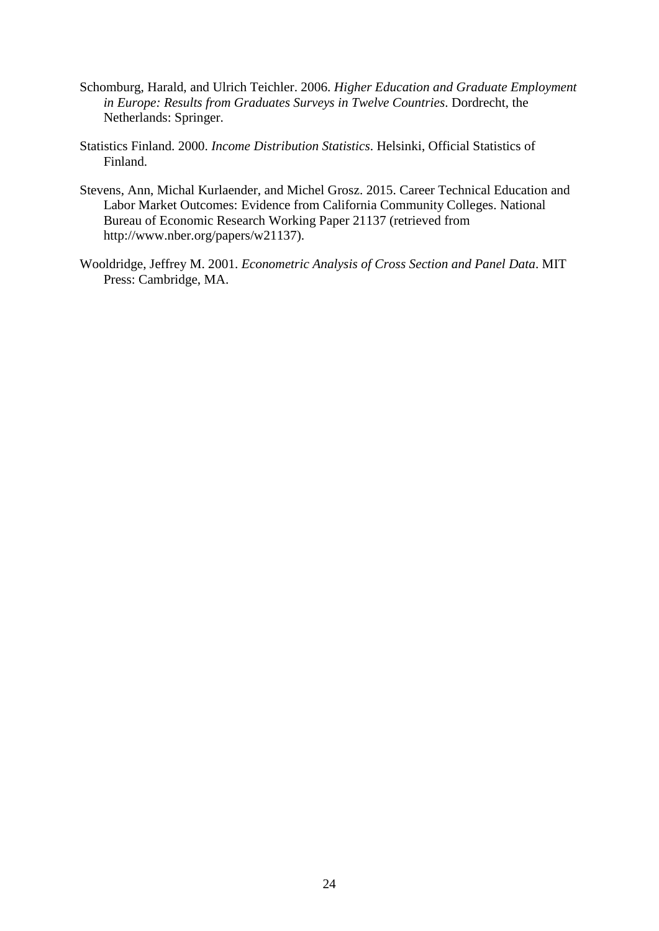- Schomburg, Harald, and Ulrich Teichler. 2006. *Higher Education and Graduate Employment in Europe: Results from Graduates Surveys in Twelve Countries*. Dordrecht, the Netherlands: Springer.
- Statistics Finland. 2000. *Income Distribution Statistics*. Helsinki, Official Statistics of Finland.
- Stevens, Ann, Michal Kurlaender, and Michel Grosz. 2015. Career Technical Education and Labor Market Outcomes: Evidence from California Community Colleges. National Bureau of Economic Research Working Paper 21137 (retrieved from http://www.nber.org/papers/w21137).
- Wooldridge, Jeffrey M. 2001. *Econometric Analysis of Cross Section and Panel Data*. MIT Press: Cambridge, MA.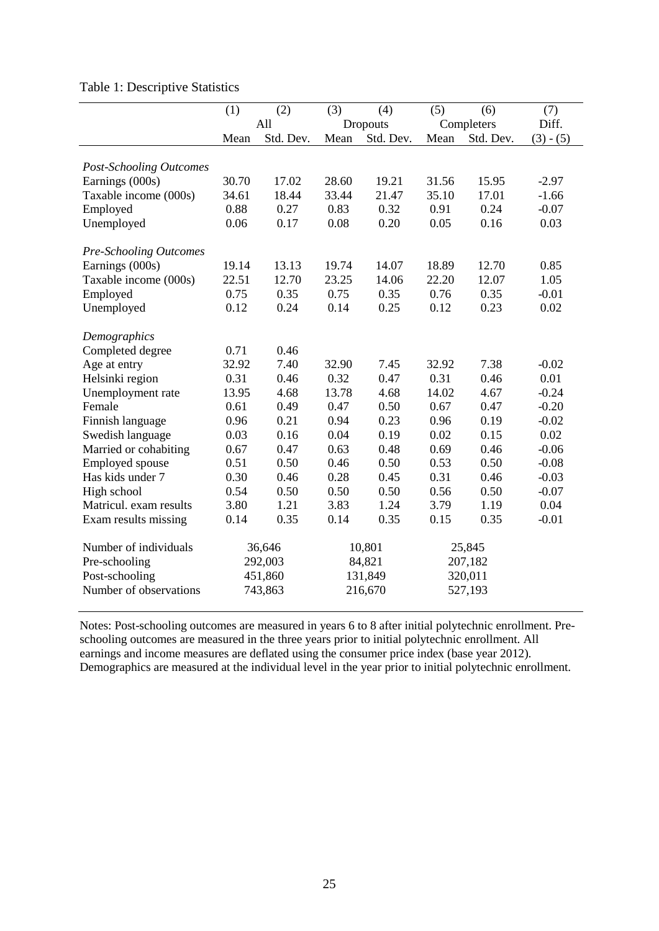| Table 1: Descriptive Statistics |  |
|---------------------------------|--|
|---------------------------------|--|

|                                | (1)   | (2)       | (3)   | (4)       | (5)   | (6)        | (7)         |
|--------------------------------|-------|-----------|-------|-----------|-------|------------|-------------|
|                                |       | All       |       | Dropouts  |       | Completers | Diff.       |
|                                | Mean  | Std. Dev. | Mean  | Std. Dev. | Mean  | Std. Dev.  | $(3) - (5)$ |
|                                |       |           |       |           |       |            |             |
| <b>Post-Schooling Outcomes</b> |       |           |       |           |       |            |             |
| Earnings (000s)                | 30.70 | 17.02     | 28.60 | 19.21     | 31.56 | 15.95      | $-2.97$     |
| Taxable income (000s)          | 34.61 | 18.44     | 33.44 | 21.47     | 35.10 | 17.01      | $-1.66$     |
| Employed                       | 0.88  | 0.27      | 0.83  | 0.32      | 0.91  | 0.24       | $-0.07$     |
| Unemployed                     | 0.06  | 0.17      | 0.08  | 0.20      | 0.05  | 0.16       | 0.03        |
| <b>Pre-Schooling Outcomes</b>  |       |           |       |           |       |            |             |
| Earnings (000s)                | 19.14 | 13.13     | 19.74 | 14.07     | 18.89 | 12.70      | 0.85        |
| Taxable income (000s)          | 22.51 | 12.70     | 23.25 | 14.06     | 22.20 | 12.07      | 1.05        |
| Employed                       | 0.75  | 0.35      | 0.75  | 0.35      | 0.76  | 0.35       | $-0.01$     |
| Unemployed                     | 0.12  | 0.24      | 0.14  | 0.25      | 0.12  | 0.23       | 0.02        |
|                                |       |           |       |           |       |            |             |
| Demographics                   |       |           |       |           |       |            |             |
| Completed degree               | 0.71  | 0.46      |       |           |       |            |             |
| Age at entry                   | 32.92 | 7.40      | 32.90 | 7.45      | 32.92 | 7.38       | $-0.02$     |
| Helsinki region                | 0.31  | 0.46      | 0.32  | 0.47      | 0.31  | 0.46       | 0.01        |
| Unemployment rate              | 13.95 | 4.68      | 13.78 | 4.68      | 14.02 | 4.67       | $-0.24$     |
| Female                         | 0.61  | 0.49      | 0.47  | 0.50      | 0.67  | 0.47       | $-0.20$     |
| Finnish language               | 0.96  | 0.21      | 0.94  | 0.23      | 0.96  | 0.19       | $-0.02$     |
| Swedish language               | 0.03  | 0.16      | 0.04  | 0.19      | 0.02  | 0.15       | 0.02        |
| Married or cohabiting          | 0.67  | 0.47      | 0.63  | 0.48      | 0.69  | 0.46       | $-0.06$     |
| Employed spouse                | 0.51  | 0.50      | 0.46  | 0.50      | 0.53  | 0.50       | $-0.08$     |
| Has kids under 7               | 0.30  | 0.46      | 0.28  | 0.45      | 0.31  | 0.46       | $-0.03$     |
| High school                    | 0.54  | 0.50      | 0.50  | 0.50      | 0.56  | 0.50       | $-0.07$     |
| Matricul. exam results         | 3.80  | 1.21      | 3.83  | 1.24      | 3.79  | 1.19       | 0.04        |
| Exam results missing           | 0.14  | 0.35      | 0.14  | 0.35      | 0.15  | 0.35       | $-0.01$     |
| Number of individuals          |       | 36,646    |       | 10,801    |       | 25,845     |             |
| Pre-schooling                  |       | 292,003   |       | 84,821    |       | 207,182    |             |
| Post-schooling                 |       | 451,860   |       | 131,849   |       | 320,011    |             |
| Number of observations         |       | 743,863   |       | 216,670   |       | 527,193    |             |
|                                |       |           |       |           |       |            |             |

Notes: Post-schooling outcomes are measured in years 6 to 8 after initial polytechnic enrollment. Preschooling outcomes are measured in the three years prior to initial polytechnic enrollment. All earnings and income measures are deflated using the consumer price index (base year 2012). Demographics are measured at the individual level in the year prior to initial polytechnic enrollment.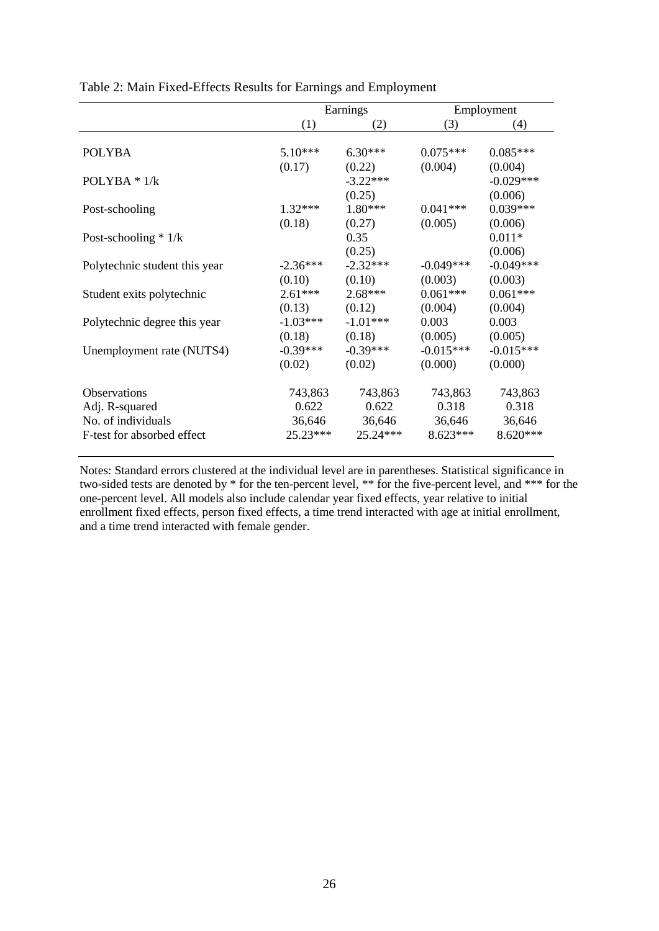|                               |            | Earnings   | Employment  |             |  |
|-------------------------------|------------|------------|-------------|-------------|--|
|                               | (1)        | (2)        | (3)         | (4)         |  |
|                               |            |            |             |             |  |
| <b>POLYBA</b>                 | $5.10***$  | $6.30***$  | $0.075***$  | $0.085***$  |  |
|                               | (0.17)     | (0.22)     | (0.004)     | (0.004)     |  |
| POLYBA $*$ 1/k                |            | $-3.22***$ |             | $-0.029***$ |  |
|                               |            | (0.25)     |             | (0.006)     |  |
| Post-schooling                | $1.32***$  | 1.80***    | $0.041***$  | $0.039***$  |  |
|                               | (0.18)     | (0.27)     | (0.005)     | (0.006)     |  |
| Post-schooling $* 1/k$        |            | 0.35       |             | $0.011*$    |  |
|                               |            | (0.25)     |             | (0.006)     |  |
| Polytechnic student this year | $-2.36***$ | $-2.32***$ | $-0.049***$ | $-0.049***$ |  |
|                               | (0.10)     | (0.10)     | (0.003)     | (0.003)     |  |
| Student exits polytechnic     | $2.61***$  | $2.68***$  | $0.061***$  | $0.061***$  |  |
|                               | (0.13)     | (0.12)     | (0.004)     | (0.004)     |  |
| Polytechnic degree this year  | $-1.03***$ | $-1.01***$ | 0.003       | 0.003       |  |
|                               | (0.18)     | (0.18)     | (0.005)     | (0.005)     |  |
| Unemployment rate (NUTS4)     | $-0.39***$ | $-0.39***$ | $-0.015***$ | $-0.015***$ |  |
|                               | (0.02)     | (0.02)     | (0.000)     | (0.000)     |  |
| <b>Observations</b>           | 743,863    | 743,863    | 743,863     | 743,863     |  |
| Adj. R-squared                | 0.622      | 0.622      | 0.318       | 0.318       |  |
| No. of individuals            | 36,646     | 36,646     | 36,646      | 36,646      |  |
| F-test for absorbed effect    | $25.23***$ | $25.24***$ | $8.623***$  | $8.620***$  |  |

Table 2: Main Fixed-Effects Results for Earnings and Employment

Notes: Standard errors clustered at the individual level are in parentheses. Statistical significance in two-sided tests are denoted by \* for the ten-percent level, \*\* for the five-percent level, and \*\*\* for the one-percent level. All models also include calendar year fixed effects, year relative to initial enrollment fixed effects, person fixed effects, a time trend interacted with age at initial enrollment, and a time trend interacted with female gender.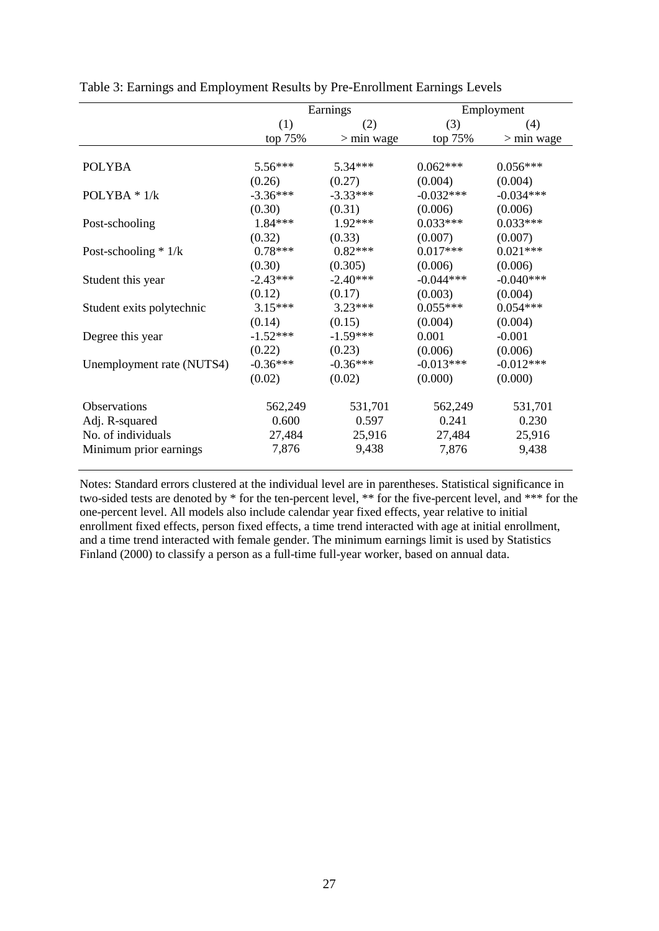|                           | Earnings   |              |             | Employment   |
|---------------------------|------------|--------------|-------------|--------------|
|                           | (1)        | (2)          | (3)         | (4)          |
|                           | top 75%    | $>$ min wage | top 75%     | $>$ min wage |
|                           |            |              |             |              |
| <b>POLYBA</b>             | $5.56***$  | $5.34***$    | $0.062***$  | $0.056***$   |
|                           | (0.26)     | (0.27)       | (0.004)     | (0.004)      |
| POLYBA $*$ 1/k            | $-3.36***$ | $-3.33***$   | $-0.032***$ | $-0.034***$  |
|                           | (0.30)     | (0.31)       | (0.006)     | (0.006)      |
| Post-schooling            | 1.84***    | $1.92***$    | $0.033***$  | $0.033***$   |
|                           | (0.32)     | (0.33)       | (0.007)     | (0.007)      |
| Post-schooling $* 1/k$    | $0.78***$  | $0.82***$    | $0.017***$  | $0.021***$   |
|                           | (0.30)     | (0.305)      | (0.006)     | (0.006)      |
| Student this year         | $-2.43***$ | $-2.40***$   | $-0.044***$ | $-0.040***$  |
|                           | (0.12)     | (0.17)       | (0.003)     | (0.004)      |
| Student exits polytechnic | $3.15***$  | $3.23***$    | $0.055***$  | $0.054***$   |
|                           | (0.14)     | (0.15)       | (0.004)     | (0.004)      |
| Degree this year          | $-1.52***$ | $-1.59***$   | 0.001       | $-0.001$     |
|                           | (0.22)     | (0.23)       | (0.006)     | (0.006)      |
| Unemployment rate (NUTS4) | $-0.36***$ | $-0.36***$   | $-0.013***$ | $-0.012***$  |
|                           | (0.02)     | (0.02)       | (0.000)     | (0.000)      |
| <b>Observations</b>       | 562,249    | 531,701      | 562,249     | 531,701      |
| Adj. R-squared            | 0.600      | 0.597        | 0.241       | 0.230        |
| No. of individuals        | 27,484     | 25,916       | 27,484      | 25,916       |
| Minimum prior earnings    | 7,876      | 9,438        | 7,876       | 9,438        |

Table 3: Earnings and Employment Results by Pre-Enrollment Earnings Levels

Notes: Standard errors clustered at the individual level are in parentheses. Statistical significance in two-sided tests are denoted by \* for the ten-percent level, \*\* for the five-percent level, and \*\*\* for the one-percent level. All models also include calendar year fixed effects, year relative to initial enrollment fixed effects, person fixed effects, a time trend interacted with age at initial enrollment, and a time trend interacted with female gender. The minimum earnings limit is used by Statistics Finland (2000) to classify a person as a full-time full-year worker, based on annual data.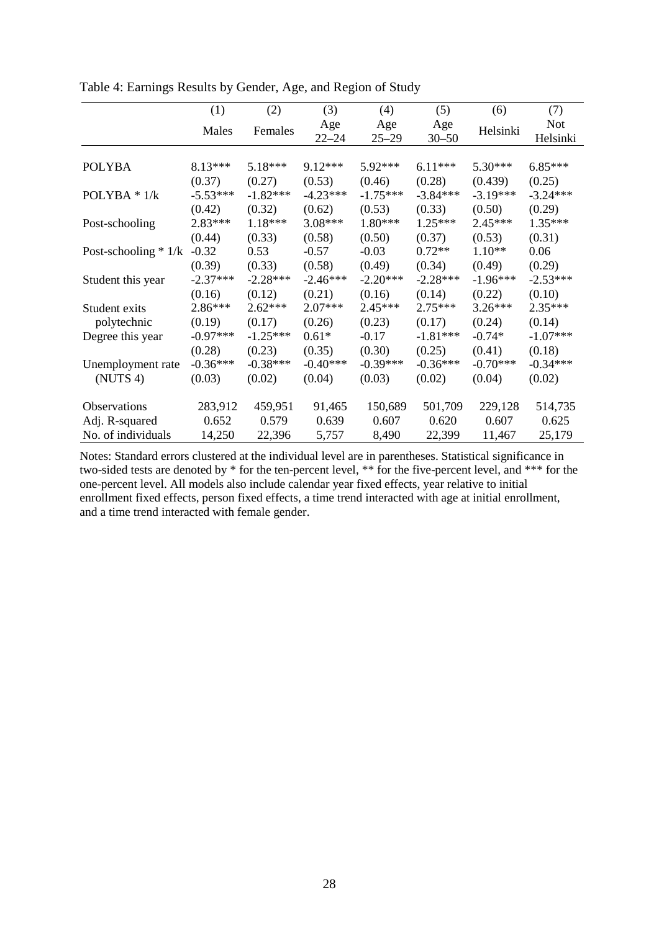|                        | (1)        | (2)        | (3)              | (4)              | (5)              | (6)        | (7)                    |
|------------------------|------------|------------|------------------|------------------|------------------|------------|------------------------|
|                        | Males      | Females    | Age<br>$22 - 24$ | Age<br>$25 - 29$ | Age<br>$30 - 50$ | Helsinki   | <b>Not</b><br>Helsinki |
|                        |            |            |                  |                  |                  |            |                        |
| <b>POLYBA</b>          | $8.13***$  | 5.18***    | $9.12***$        | $5.92***$        | $6.11***$        | $5.30***$  | $6.85***$              |
|                        | (0.37)     | (0.27)     | (0.53)           | (0.46)           | (0.28)           | (0.439)    | (0.25)                 |
| POLYBA $*$ 1/k         | $-5.53***$ | $-1.82***$ | $-4.23***$       | $-1.75***$       | $-3.84***$       | $-3.19***$ | $-3.24***$             |
|                        | (0.42)     | (0.32)     | (0.62)           | (0.53)           | (0.33)           | (0.50)     | (0.29)                 |
| Post-schooling         | $2.83***$  | $1.18***$  | $3.08***$        | $1.80***$        | $1.25***$        | 2.45***    | $1.35***$              |
|                        | (0.44)     | (0.33)     | (0.58)           | (0.50)           | (0.37)           | (0.53)     | (0.31)                 |
| Post-schooling $*$ 1/k | $-0.32$    | 0.53       | $-0.57$          | $-0.03$          | $0.72**$         | $1.10**$   | 0.06                   |
|                        | (0.39)     | (0.33)     | (0.58)           | (0.49)           | (0.34)           | (0.49)     | (0.29)                 |
| Student this year      | $-2.37***$ | $-2.28***$ | $-2.46***$       | $-2.20***$       | $-2.28***$       | $-1.96***$ | $-2.53***$             |
|                        | (0.16)     | (0.12)     | (0.21)           | (0.16)           | (0.14)           | (0.22)     | (0.10)                 |
| Student exits          | 2.86***    | $2.62***$  | $2.07***$        | 2.45***          | $2.75***$        | $3.26***$  | $2.35***$              |
| polytechnic            | (0.19)     | (0.17)     | (0.26)           | (0.23)           | (0.17)           | (0.24)     | (0.14)                 |
| Degree this year       | $-0.97***$ | $-1.25***$ | $0.61*$          | $-0.17$          | $-1.81***$       | $-0.74*$   | $-1.07***$             |
|                        | (0.28)     | (0.23)     | (0.35)           | (0.30)           | (0.25)           | (0.41)     | (0.18)                 |
| Unemployment rate      | $-0.36***$ | $-0.38***$ | $-0.40***$       | $-0.39***$       | $-0.36***$       | $-0.70***$ | $-0.34***$             |
| (NUTS 4)               | (0.03)     | (0.02)     | (0.04)           | (0.03)           | (0.02)           | (0.04)     | (0.02)                 |
| Observations           | 283,912    | 459,951    | 91,465           | 150,689          | 501,709          | 229,128    | 514,735                |
| Adj. R-squared         | 0.652      | 0.579      | 0.639            | 0.607            | 0.620            | 0.607      | 0.625                  |
| No. of individuals     | 14,250     | 22,396     | 5,757            | 8,490            | 22,399           | 11,467     | 25,179                 |

Table 4: Earnings Results by Gender, Age, and Region of Study

Notes: Standard errors clustered at the individual level are in parentheses. Statistical significance in two-sided tests are denoted by \* for the ten-percent level, \*\* for the five-percent level, and \*\*\* for the one-percent level. All models also include calendar year fixed effects, year relative to initial enrollment fixed effects, person fixed effects, a time trend interacted with age at initial enrollment, and a time trend interacted with female gender.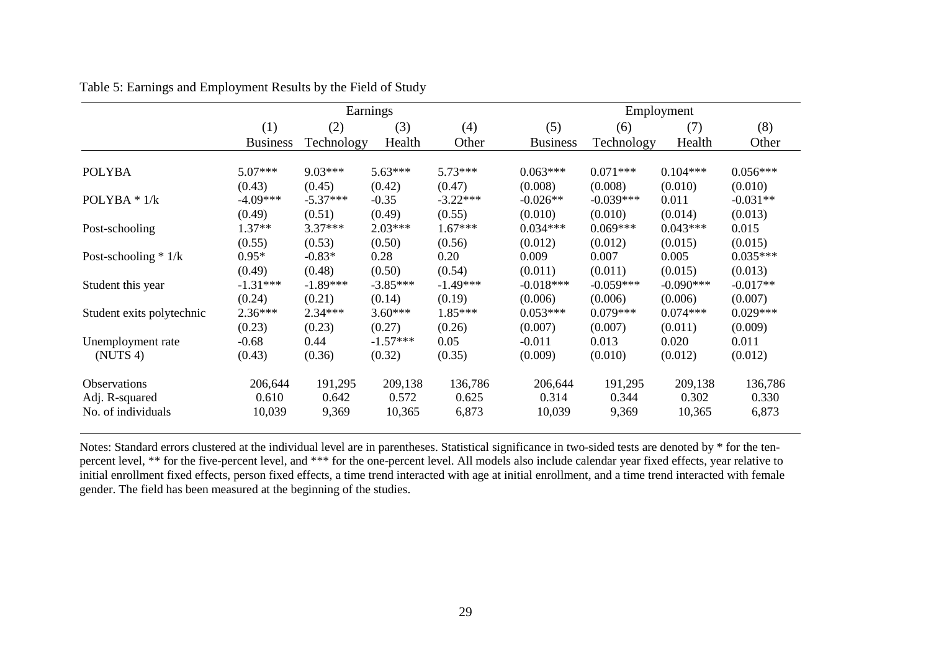|                           | Earnings        |            |            |            | Employment      |             |             |            |  |
|---------------------------|-----------------|------------|------------|------------|-----------------|-------------|-------------|------------|--|
|                           | (1)             | (2)        | (3)        | (4)        | (5)             | (6)         | (7)         | (8)        |  |
|                           | <b>Business</b> | Technology | Health     | Other      | <b>Business</b> | Technology  | Health      | Other      |  |
| <b>POLYBA</b>             | $5.07***$       | $9.03***$  | $5.63***$  | $5.73***$  | $0.063***$      | $0.071***$  | $0.104***$  | $0.056***$ |  |
|                           | (0.43)          | (0.45)     | (0.42)     | (0.47)     | (0.008)         | (0.008)     | (0.010)     | (0.010)    |  |
| POLYBA $*$ 1/k            | $-4.09***$      | $-5.37***$ | $-0.35$    | $-3.22***$ | $-0.026**$      | $-0.039***$ | 0.011       | $-0.031**$ |  |
|                           | (0.49)          | (0.51)     | (0.49)     | (0.55)     | (0.010)         | (0.010)     | (0.014)     | (0.013)    |  |
| Post-schooling            | 1.37**          | $3.37***$  | $2.03***$  | $1.67***$  | $0.034***$      | $0.069***$  | $0.043***$  | 0.015      |  |
|                           | (0.55)          | (0.53)     | (0.50)     | (0.56)     | (0.012)         | (0.012)     | (0.015)     | (0.015)    |  |
| Post-schooling $* 1/k$    | $0.95*$         | $-0.83*$   | 0.28       | 0.20       | 0.009           | 0.007       | 0.005       | $0.035***$ |  |
|                           | (0.49)          | (0.48)     | (0.50)     | (0.54)     | (0.011)         | (0.011)     | (0.015)     | (0.013)    |  |
| Student this year         | $-1.31***$      | $-1.89***$ | $-3.85***$ | $-1.49***$ | $-0.018***$     | $-0.059***$ | $-0.090***$ | $-0.017**$ |  |
|                           | (0.24)          | (0.21)     | (0.14)     | (0.19)     | (0.006)         | (0.006)     | (0.006)     | (0.007)    |  |
| Student exits polytechnic | $2.36***$       | $2.34***$  | $3.60***$  | $1.85***$  | $0.053***$      | $0.079***$  | $0.074***$  | $0.029***$ |  |
|                           | (0.23)          | (0.23)     | (0.27)     | (0.26)     | (0.007)         | (0.007)     | (0.011)     | (0.009)    |  |
| Unemployment rate         | $-0.68$         | 0.44       | $-1.57***$ | 0.05       | $-0.011$        | 0.013       | 0.020       | 0.011      |  |
| (NUTS 4)                  | (0.43)          | (0.36)     | (0.32)     | (0.35)     | (0.009)         | (0.010)     | (0.012)     | (0.012)    |  |
| <b>Observations</b>       | 206,644         | 191,295    | 209,138    | 136,786    | 206,644         | 191,295     | 209,138     | 136,786    |  |
| Adj. R-squared            | 0.610           | 0.642      | 0.572      | 0.625      | 0.314           | 0.344       | 0.302       | 0.330      |  |
| No. of individuals        | 10,039          | 9,369      | 10,365     | 6,873      | 10,039          | 9,369       | 10,365      | 6,873      |  |

Table 5: Earnings and Employment Results by the Field of Study

Notes: Standard errors clustered at the individual level are in parentheses. Statistical significance in two-sided tests are denoted by \* for the tenpercent level, \*\* for the five-percent level, and \*\*\* for the one-percent level. All models also include calendar year fixed effects, year relative to initial enrollment fixed effects, person fixed effects, a time trend interacted with age at initial enrollment, and a time trend interacted with female gender. The field has been measured at the beginning of the studies.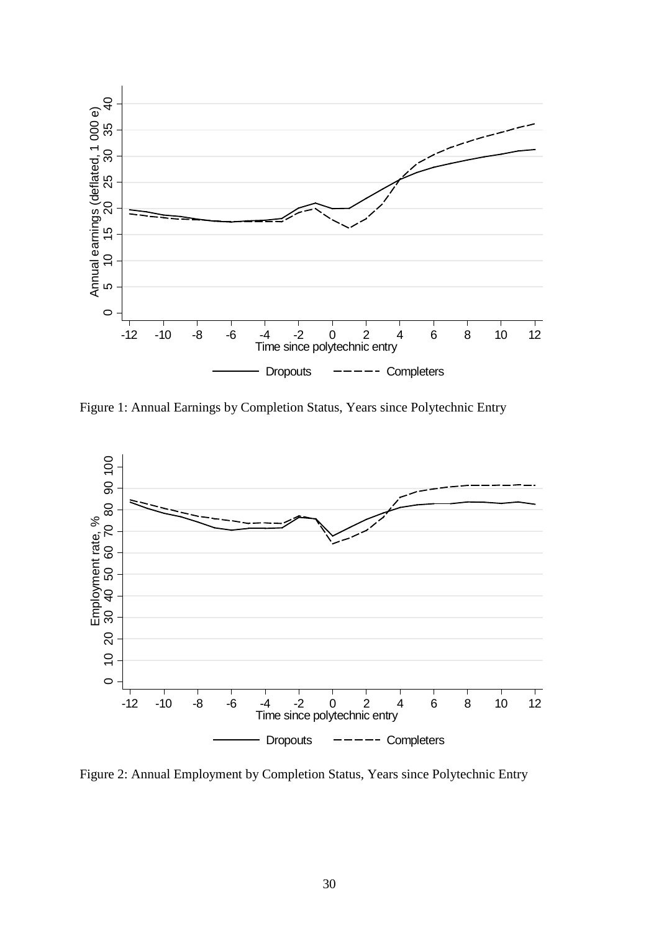

Figure 1: Annual Earnings by Completion Status, Years since Polytechnic Entry



Figure 2: Annual Employment by Completion Status, Years since Polytechnic Entry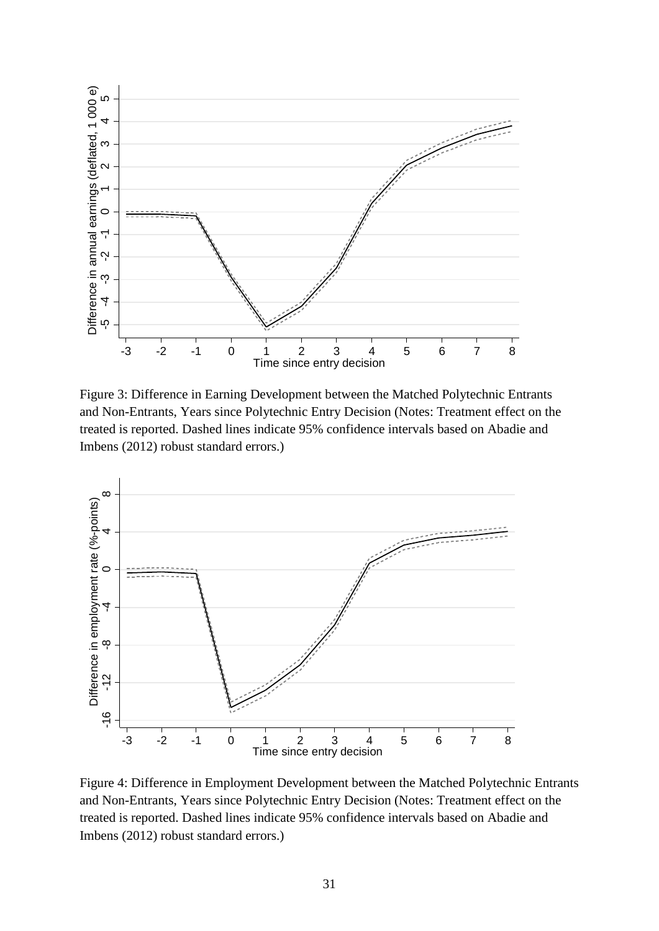

Figure 3: Difference in Earning Development between the Matched Polytechnic Entrants and Non-Entrants, Years since Polytechnic Entry Decision (Notes: Treatment effect on the treated is reported. Dashed lines indicate 95% confidence intervals based on Abadie and Imbens (2012) robust standard errors.)



Figure 4: Difference in Employment Development between the Matched Polytechnic Entrants and Non-Entrants, Years since Polytechnic Entry Decision (Notes: Treatment effect on the treated is reported. Dashed lines indicate 95% confidence intervals based on Abadie and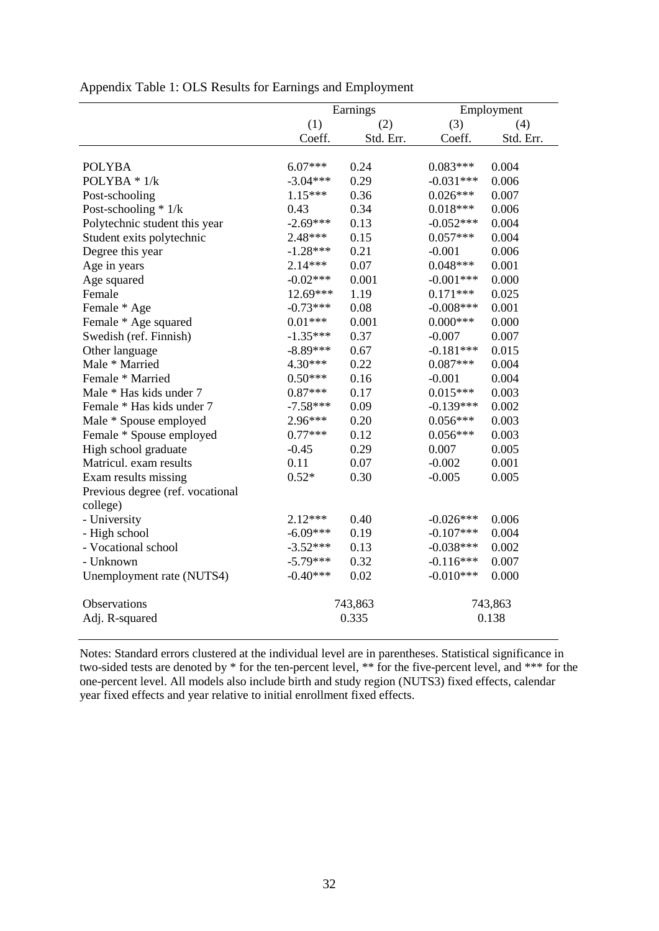|                                  |            | Earnings  | Employment   |           |  |
|----------------------------------|------------|-----------|--------------|-----------|--|
|                                  | (1)        | (2)       | (3)          | (4)       |  |
|                                  | Coeff.     | Std. Err. | Coeff.       | Std. Err. |  |
|                                  |            |           |              |           |  |
| <b>POLYBA</b>                    | $6.07***$  | 0.24      | $0.083***$   | 0.004     |  |
| POLYBA $*1/k$                    | $-3.04***$ | 0.29      | $-0.031***$  | 0.006     |  |
| Post-schooling                   | $1.15***$  | 0.36      | $0.026***$   | 0.007     |  |
| Post-schooling * 1/k             | 0.43       | 0.34      | $0.018***$   | 0.006     |  |
| Polytechnic student this year    | $-2.69***$ | 0.13      | $-0.052***$  | 0.004     |  |
| Student exits polytechnic        | $2.48***$  | 0.15      | $0.057***$   | 0.004     |  |
| Degree this year                 | $-1.28***$ | 0.21      | $-0.001$     | 0.006     |  |
| Age in years                     | $2.14***$  | 0.07      | $0.048***$   | 0.001     |  |
| Age squared                      | $-0.02***$ | 0.001     | $-0.001***$  | 0.000     |  |
| Female                           | 12.69***   | 1.19      | $0.171***$   | 0.025     |  |
| Female * Age                     | $-0.73***$ | 0.08      | $-0.008$ *** | 0.001     |  |
| Female * Age squared             | $0.01***$  | 0.001     | $0.000***$   | 0.000     |  |
| Swedish (ref. Finnish)           | $-1.35***$ | 0.37      | $-0.007$     | 0.007     |  |
| Other language                   | $-8.89***$ | 0.67      | $-0.181***$  | 0.015     |  |
| Male * Married                   | $4.30***$  | 0.22      | $0.087***$   | 0.004     |  |
| Female * Married                 | $0.50***$  | 0.16      | $-0.001$     | 0.004     |  |
| Male * Has kids under 7          | $0.87***$  | 0.17      | $0.015***$   | 0.003     |  |
| Female * Has kids under 7        | $-7.58***$ | 0.09      | $-0.139***$  | 0.002     |  |
| Male * Spouse employed           | $2.96***$  | 0.20      | $0.056***$   | 0.003     |  |
| Female * Spouse employed         | $0.77***$  | 0.12      | $0.056***$   | 0.003     |  |
| High school graduate             | $-0.45$    | 0.29      | 0.007        | 0.005     |  |
| Matricul. exam results           | 0.11       | 0.07      | $-0.002$     | 0.001     |  |
| Exam results missing             | $0.52*$    | 0.30      | $-0.005$     | 0.005     |  |
| Previous degree (ref. vocational |            |           |              |           |  |
| college)                         |            |           |              |           |  |
| - University                     | $2.12***$  | 0.40      | $-0.026***$  | 0.006     |  |
| - High school                    | $-6.09***$ | 0.19      | $-0.107***$  | 0.004     |  |
| - Vocational school              | $-3.52***$ | 0.13      | $-0.038***$  | 0.002     |  |
| - Unknown                        | $-5.79***$ | 0.32      | $-0.116***$  | 0.007     |  |
| Unemployment rate (NUTS4)        | $-0.40***$ | 0.02      | $-0.010***$  | 0.000     |  |
| Observations                     |            | 743,863   |              | 743,863   |  |
| Adj. R-squared                   |            | 0.335     |              | 0.138     |  |

Appendix Table 1: OLS Results for Earnings and Employment

Notes: Standard errors clustered at the individual level are in parentheses. Statistical significance in two-sided tests are denoted by \* for the ten-percent level, \*\* for the five-percent level, and \*\*\* for the one-percent level. All models also include birth and study region (NUTS3) fixed effects, calendar year fixed effects and year relative to initial enrollment fixed effects.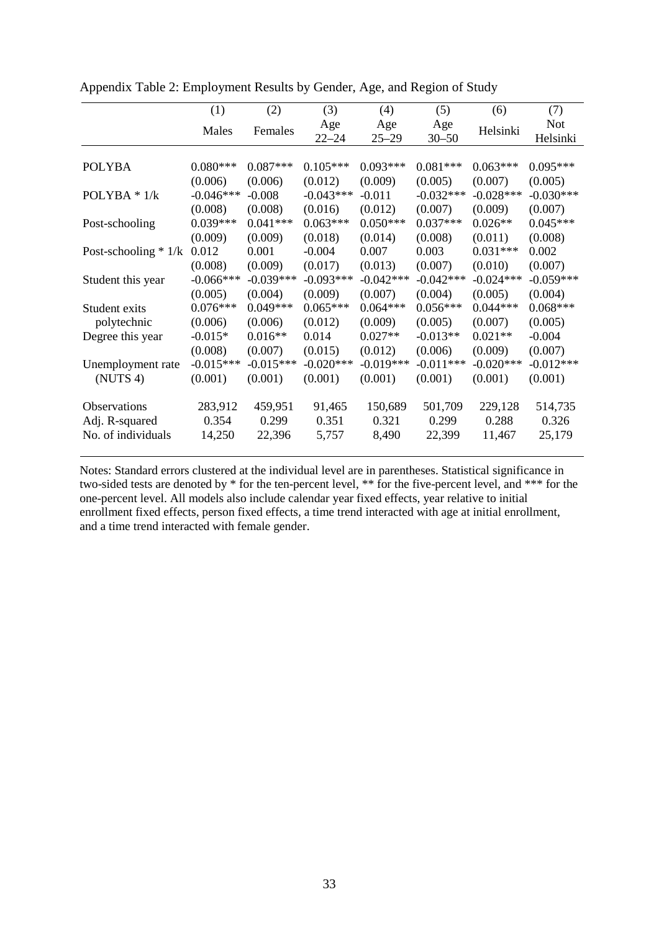|                        | (1)         | (2)         | (3)              | (4)              | (5)              | (6)         | (7)                    |
|------------------------|-------------|-------------|------------------|------------------|------------------|-------------|------------------------|
|                        | Males       | Females     | Age<br>$22 - 24$ | Age<br>$25 - 29$ | Age<br>$30 - 50$ | Helsinki    | <b>Not</b><br>Helsinki |
|                        |             |             |                  |                  |                  |             |                        |
| <b>POLYBA</b>          | $0.080***$  | $0.087***$  | $0.105***$       | $0.093***$       | $0.081***$       | $0.063***$  | $0.095***$             |
|                        | (0.006)     | (0.006)     | (0.012)          | (0.009)          | (0.005)          | (0.007)     | (0.005)                |
| POLYBA $*$ 1/k         | $-0.046***$ | $-0.008$    | $-0.043***$      | $-0.011$         | $-0.032***$      | $-0.028***$ | $-0.030***$            |
|                        | (0.008)     | (0.008)     | (0.016)          | (0.012)          | (0.007)          | (0.009)     | (0.007)                |
| Post-schooling         | $0.039***$  | $0.041***$  | $0.063***$       | $0.050***$       | $0.037***$       | $0.026**$   | $0.045***$             |
|                        | (0.009)     | (0.009)     | (0.018)          | (0.014)          | (0.008)          | (0.011)     | (0.008)                |
| Post-schooling $* 1/k$ | 0.012       | 0.001       | $-0.004$         | 0.007            | 0.003            | $0.031***$  | 0.002                  |
|                        | (0.008)     | (0.009)     | (0.017)          | (0.013)          | (0.007)          | (0.010)     | (0.007)                |
| Student this year      | $-0.066***$ | $-0.039***$ | $-0.093***$      | $-0.042***$      | $-0.042***$      | $-0.024***$ | $-0.059***$            |
|                        | (0.005)     | (0.004)     | (0.009)          | (0.007)          | (0.004)          | (0.005)     | (0.004)                |
| Student exits          | $0.076***$  | $0.049***$  | $0.065***$       | $0.064***$       | $0.056***$       | $0.044***$  | $0.068***$             |
| polytechnic            | (0.006)     | (0.006)     | (0.012)          | (0.009)          | (0.005)          | (0.007)     | (0.005)                |
| Degree this year       | $-0.015*$   | $0.016**$   | 0.014            | $0.027**$        | $-0.013**$       | $0.021**$   | $-0.004$               |
|                        | (0.008)     | (0.007)     | (0.015)          | (0.012)          | (0.006)          | (0.009)     | (0.007)                |
| Unemployment rate      | $-0.015***$ | $-0.015***$ | $-0.020***$      | $-0.019***$      | $-0.011***$      | $-0.020***$ | $-0.012***$            |
| (NUTS 4)               | (0.001)     | (0.001)     | (0.001)          | (0.001)          | (0.001)          | (0.001)     | (0.001)                |
| Observations           | 283,912     | 459,951     | 91,465           | 150,689          | 501,709          | 229,128     | 514,735                |
| Adj. R-squared         | 0.354       | 0.299       | 0.351            | 0.321            | 0.299            | 0.288       | 0.326                  |
| No. of individuals     | 14,250      | 22,396      | 5,757            | 8,490            | 22,399           | 11,467      | 25,179                 |

Appendix Table 2: Employment Results by Gender, Age, and Region of Study

Notes: Standard errors clustered at the individual level are in parentheses. Statistical significance in two-sided tests are denoted by \* for the ten-percent level, \*\* for the five-percent level, and \*\*\* for the one-percent level. All models also include calendar year fixed effects, year relative to initial enrollment fixed effects, person fixed effects, a time trend interacted with age at initial enrollment, and a time trend interacted with female gender.